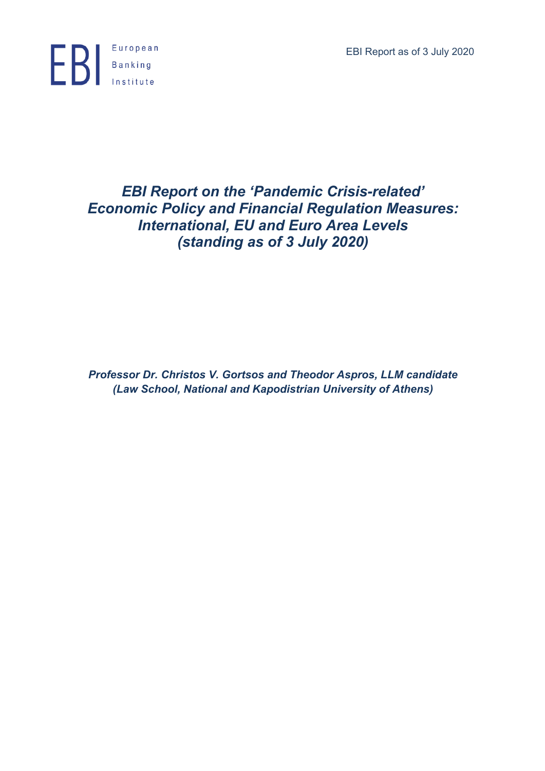EBI Report as of 3 July 2020



# *EBI Report on the 'Pandemic Crisis-related' Economic Policy and Financial Regulation Measures: International, EU and Euro Area Levels (standing as of 3 July 2020)*

*Professor Dr. Christos V. Gortsos and Theodor Aspros, LLM candidate (Law School, National and Kapodistrian University of Athens)*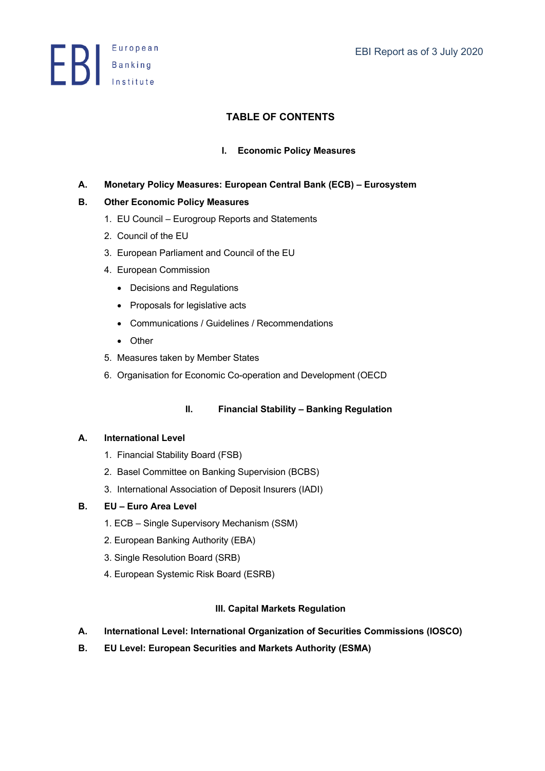**Exerche Stanking**<br>Institute

# **TABLE OF CONTENTS**

# **I. Economic Policy Measures**

**A. Monetary Policy Measures: European Central Bank (ECB) – Eurosystem** 

# **B. Other Economic Policy Measures**

- 1. EU Council Eurogroup Reports and Statements
- 2. Council of the EU
- 3. European Parliament and Council of the EU
- 4. European Commission
	- Decisions and Regulations
	- Proposals for legislative acts
	- Communications / Guidelines / Recommendations
	- Other
- 5. Measures taken by Member States
- 6. Organisation for Economic Co-operation and Development (OECD

# **II. Financial Stability – Banking Regulation**

# **A. International Level**

- 1. Financial Stability Board (FSB)
- 2. Basel Committee on Banking Supervision (BCBS)
- 3. International Association of Deposit Insurers (IADI)

# **B. EU – Euro Area Level**

- 1. ECB Single Supervisory Mechanism (SSM)
- 2. European Banking Authority (EBA)
- 3. Single Resolution Board (SRB)
- 4. European Systemic Risk Board (ESRB)

# **III. Capital Markets Regulation**

- **A. International Level: International Organization of Securities Commissions (IOSCO)**
- **B. EU Level: European Securities and Markets Authority (ESMA)**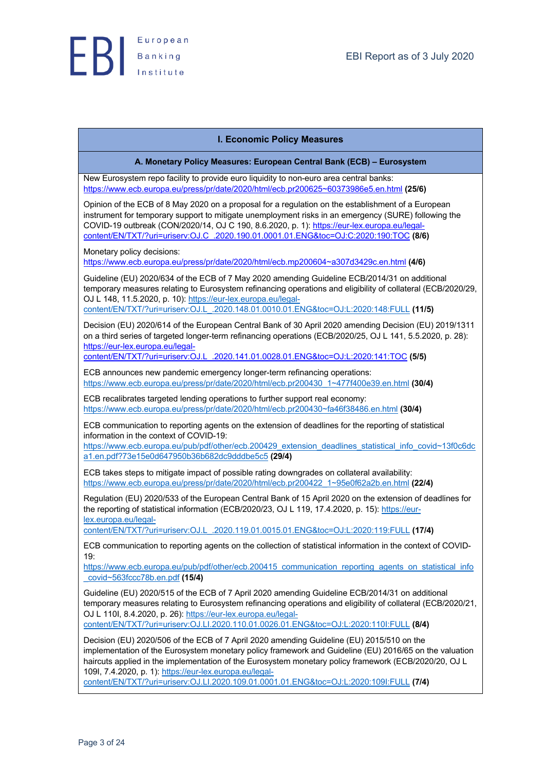

#### **I. Economic Policy Measures**

**A. Monetary Policy Measures: European Central Bank (ECB) – Eurosystem**

New Eurosystem repo facility to provide euro liquidity to non-euro area central banks: https://www.ecb.europa.eu/press/pr/date/2020/html/ecb.pr200625~60373986e5.en.html **(25/6)**

Opinion of the ECB of 8 May 2020 on a proposal for a regulation on the establishment of a European instrument for temporary support to mitigate unemployment risks in an emergency (SURE) following the COVID-19 outbreak (CON/2020/14, OJ C 190, 8.6.2020, p. 1): https://eur-lex.europa.eu/legalcontent/EN/TXT/?uri=uriserv:OJ.C\_.2020.190.01.0001.01.ENG&toc=OJ:C:2020:190:TOC **(8/6)**

Monetary policy decisions:

https://www.ecb.europa.eu/press/pr/date/2020/html/ecb.mp200604~a307d3429c.en.html **(4/6)**

Guideline (EU) 2020/634 of the ECB of 7 May 2020 amending Guideline ECB/2014/31 on additional temporary measures relating to Eurosystem refinancing operations and eligibility of collateral (ECB/2020/29, OJ L 148, 11.5.2020, p. 10): https://eur-lex.europa.eu/legalcontent/EN/TXT/?uri=uriserv:OJ.L\_.2020.148.01.0010.01.ENG&toc=OJ:L:2020:148:FULL **(11/5)**

Decision (EU) 2020/614 of the European Central Bank of 30 April 2020 amending Decision (EU) 2019/1311 on a third series of targeted longer-term refinancing operations (ECB/2020/25, OJ L 141, 5.5.2020, p. 28): https://eur-lex.europa.eu/legal-

content/EN/TXT/?uri=uriserv:OJ.L\_.2020.141.01.0028.01.ENG&toc=OJ:L:2020:141:TOC **(5/5)**

ECB announces new pandemic emergency longer-term refinancing operations: https://www.ecb.europa.eu/press/pr/date/2020/html/ecb.pr200430\_1~477f400e39.en.html **(30/4)**

ECB recalibrates targeted lending operations to further support real economy: https://www.ecb.europa.eu/press/pr/date/2020/html/ecb.pr200430~fa46f38486.en.html **(30/4)**

ECB communication to reporting agents on the extension of deadlines for the reporting of statistical information in the context of COVID-19:

https://www.ecb.europa.eu/pub/pdf/other/ecb.200429\_extension\_deadlines\_statistical\_info\_covid~13f0c6dc a1.en.pdf?73e15e0d647950b36b682dc9dddbe5c5 **(29/4)**

ECB takes steps to mitigate impact of possible rating downgrades on collateral availability: https://www.ecb.europa.eu/press/pr/date/2020/html/ecb.pr200422\_1~95e0f62a2b.en.html **(22/4)**

Regulation (EU) 2020/533 of the European Central Bank of 15 April 2020 on the extension of deadlines for the reporting of statistical information (ECB/2020/23, OJ L 119, 17.4.2020, p. 15): https://eurlex.europa.eu/legal-

content/EN/TXT/?uri=uriserv:OJ.L\_.2020.119.01.0015.01.ENG&toc=OJ:L:2020:119:FULL **(17/4)**

ECB communication to reporting agents on the collection of statistical information in the context of COVID-19:

https://www.ecb.europa.eu/pub/pdf/other/ecb.200415\_communication\_reporting\_agents\_on\_statistical\_info \_covid~563fccc78b.en.pdf **(15/4)**

Guideline (EU) 2020/515 of the ECB of 7 April 2020 amending Guideline ECB/2014/31 on additional temporary measures relating to Eurosystem refinancing operations and eligibility of collateral (ECB/2020/21, OJ L 110I, 8.4.2020, p. 26): https://eur-lex.europa.eu/legalcontent/EN/TXT/?uri=uriserv:OJ.LI.2020.110.01.0026.01.ENG&toc=OJ:L:2020:110I:FULL **(8/4)**

Decision (EU) 2020/506 of the ECB of 7 April 2020 amending Guideline (EU) 2015/510 on the implementation of the Eurosystem monetary policy framework and Guideline (EU) 2016/65 on the valuation haircuts applied in the implementation of the Eurosystem monetary policy framework (ECB/2020/20, OJ L 109I, 7.4.2020, p. 1): https://eur-lex.europa.eu/legal-

content/EN/TXT/?uri=uriserv:OJ.LI.2020.109.01.0001.01.ENG&toc=OJ:L:2020:109I:FULL **(7/4)**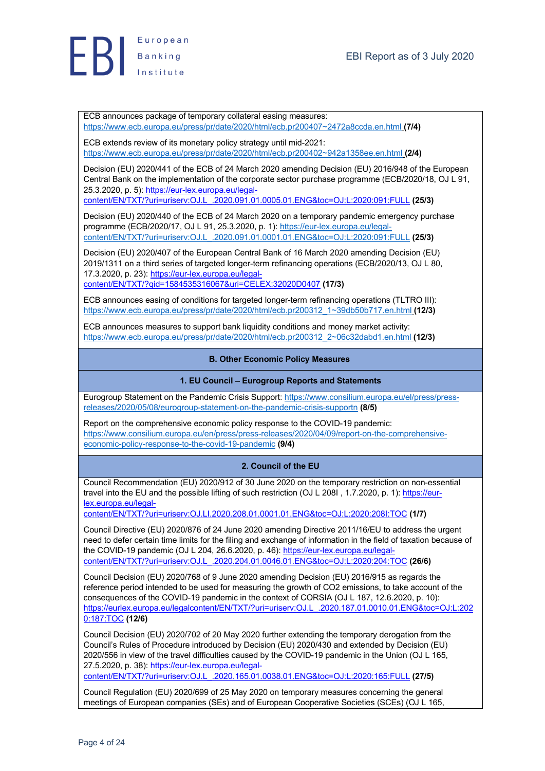

ECB announces package of temporary collateral easing measures: https://www.ecb.europa.eu/press/pr/date/2020/html/ecb.pr200407~2472a8ccda.en.html **(7/4)**

ECB extends review of its monetary policy strategy until mid-2021: https://www.ecb.europa.eu/press/pr/date/2020/html/ecb.pr200402~942a1358ee.en.html **(2/4)**

Decision (EU) 2020/441 of the ECB of 24 March 2020 amending Decision (EU) 2016/948 of the European Central Bank on the implementation of the corporate sector purchase programme (ECB/2020/18, OJ L 91, 25.3.2020, p. 5): https://eur-lex.europa.eu/legalcontent/EN/TXT/?uri=uriserv:OJ.L\_.2020.091.01.0005.01.ENG&toc=OJ:L:2020:091:FULL **(25/3)**

Decision (EU) 2020/440 of the ECB of 24 March 2020 on a temporary pandemic emergency purchase

programme (ECB/2020/17, OJ L 91, 25.3.2020, p. 1): https://eur-lex.europa.eu/legalcontent/EN/TXT/?uri=uriserv:OJ.L\_.2020.091.01.0001.01.ENG&toc=OJ:L:2020:091:FULL **(25/3)**

Decision (EU) 2020/407 of the European Central Bank of 16 March 2020 amending Decision (EU) 2019/1311 on a third series of targeted longer-term refinancing operations (ECB/2020/13, OJ L 80, 17.3.2020, p. 23): https://eur-lex.europa.eu/legalcontent/EN/TXT/?qid=1584535316067&uri=CELEX:32020D0407 **(17/3)**

ECB announces easing of conditions for targeted longer-term refinancing operations (TLTRO III): https://www.ecb.europa.eu/press/pr/date/2020/html/ecb.pr200312\_1~39db50b717.en.html **(12/3)**

ECB announces measures to support bank liquidity conditions and money market activity: https://www.ecb.europa.eu/press/pr/date/2020/html/ecb.pr200312\_2~06c32dabd1.en.html **(12/3)**

### **B. Other Economic Policy Measures**

#### **1. EU Council – Eurogroup Reports and Statements**

Eurogroup Statement on the Pandemic Crisis Support: https://www.consilium.europa.eu/el/press/pressreleases/2020/05/08/eurogroup-statement-on-the-pandemic-crisis-supportn **(8/5)**

Report on the comprehensive economic policy response to the COVID-19 pandemic: https://www.consilium.europa.eu/en/press/press-releases/2020/04/09/report-on-the-comprehensiveeconomic-policy-response-to-the-covid-19-pandemic **(9/4)**

# **2. Council of the EU**

Council Recommendation (EU) 2020/912 of 30 June 2020 on the temporary restriction on non-essential travel into the EU and the possible lifting of such restriction (OJ L 208I, 1.7.2020, p. 1): https://eurlex.europa.eu/legal-

content/EN/TXT/?uri=uriserv:OJ.LI.2020.208.01.0001.01.ENG&toc=OJ:L:2020:208I:TOC **(1/7)**

Council Directive (EU) 2020/876 of 24 June 2020 amending Directive 2011/16/EU to address the urgent need to defer certain time limits for the filing and exchange of information in the field of taxation because of the COVID-19 pandemic (OJ L 204, 26.6.2020, p. 46): https://eur-lex.europa.eu/legalcontent/EN/TXT/?uri=uriserv:OJ.L\_.2020.204.01.0046.01.ENG&toc=OJ:L:2020:204:TOC **(26/6)**

Council Decision (EU) 2020/768 of 9 June 2020 amending Decision (EU) 2016/915 as regards the reference period intended to be used for measuring the growth of CO2 emissions, to take account of the consequences of the COVID-19 pandemic in the context of CORSIA (OJ L 187, 12.6.2020, p. 10): https://eurlex.europa.eu/legalcontent/EN/TXT/?uri=uriserv:OJ.L\_.2020.187.01.0010.01.ENG&toc=OJ:L:202 0:187:TOC **(12/6)**

Council Decision (EU) 2020/702 of 20 May 2020 further extending the temporary derogation from the Council's Rules of Procedure introduced by Decision (EU) 2020/430 and extended by Decision (EU) 2020/556 in view of the travel difficulties caused by the COVID-19 pandemic in the Union (OJ L 165, 27.5.2020, p. 38): https://eur-lex.europa.eu/legal-

content/EN/TXT/?uri=uriserv:OJ.L\_.2020.165.01.0038.01.ENG&toc=OJ:L:2020:165:FULL **(27/5)**

Council Regulation (EU) 2020/699 of 25 May 2020 on temporary measures concerning the general meetings of European companies (SEs) and of European Cooperative Societies (SCEs) (OJ L 165,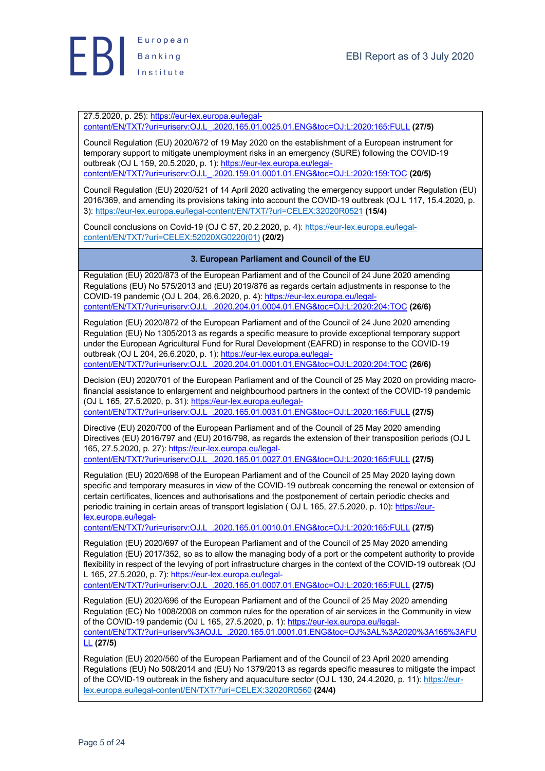

27.5.2020, p. 25): https://eur-lex.europa.eu/legalcontent/EN/TXT/?uri=uriserv:OJ.L\_.2020.165.01.0025.01.ENG&toc=OJ:L:2020:165:FULL **(27/5)**

Council Regulation (EU) 2020/672 of 19 May 2020 on the establishment of a European instrument for temporary support to mitigate unemployment risks in an emergency (SURE) following the COVID-19 outbreak (OJ L 159, 20.5.2020, p. 1): https://eur-lex.europa.eu/legalcontent/EN/TXT/?uri=uriserv:OJ.L\_.2020.159.01.0001.01.ENG&toc=OJ:L:2020:159:TOC **(20/5)**

Council Regulation (EU) 2020/521 of 14 April 2020 activating the emergency support under Regulation (EU) 2016/369, and amending its provisions taking into account the COVID-19 outbreak (OJ L 117, 15.4.2020, p. 3): https://eur-lex.europa.eu/legal-content/EN/TXT/?uri=CELEX:32020R0521 **(15/4)**

Council conclusions on Covid-19 (OJ C 57, 20.2.2020, p. 4): https://eur-lex.europa.eu/legalcontent/EN/TXT/?uri=CELEX:52020XG0220(01) **(20/2)**

# **3. European Parliament and Council of the EU**

Regulation (EU) 2020/873 of the European Parliament and of the Council of 24 June 2020 amending Regulations (EU) No 575/2013 and (EU) 2019/876 as regards certain adjustments in response to the COVID-19 pandemic (OJ L 204, 26.6.2020, p. 4): https://eur-lex.europa.eu/legalcontent/EN/TXT/?uri=uriserv:OJ.L\_.2020.204.01.0004.01.ENG&toc=OJ:L:2020:204:TOC **(26/6)**

Regulation (EU) 2020/872 of the European Parliament and of the Council of 24 June 2020 amending Regulation (EU) No 1305/2013 as regards a specific measure to provide exceptional temporary support under the European Agricultural Fund for Rural Development (EAFRD) in response to the COVID-19 outbreak (OJ L 204, 26.6.2020, p. 1): https://eur-lex.europa.eu/legalcontent/EN/TXT/?uri=uriserv:OJ.L\_.2020.204.01.0001.01.ENG&toc=OJ:L:2020:204:TOC **(26/6)**

Decision (EU) 2020/701 of the European Parliament and of the Council of 25 May 2020 on providing macrofinancial assistance to enlargement and neighbourhood partners in the context of the COVID-19 pandemic (OJ L 165, 27.5.2020, p. 31): https://eur-lex.europa.eu/legalcontent/EN/TXT/?uri=uriserv:OJ.L\_.2020.165.01.0031.01.ENG&toc=OJ:L:2020:165:FULL **(27/5)**

Directive (EU) 2020/700 of the European Parliament and of the Council of 25 May 2020 amending Directives (EU) 2016/797 and (EU) 2016/798, as regards the extension of their transposition periods (OJ L 165, 27.5.2020, p. 27): https://eur-lex.europa.eu/legalcontent/EN/TXT/?uri=uriserv:OJ.L\_.2020.165.01.0027.01.ENG&toc=OJ:L:2020:165:FULL **(27/5)**

Regulation (EU) 2020/698 of the European Parliament and of the Council of 25 May 2020 laying down

specific and temporary measures in view of the COVID-19 outbreak concerning the renewal or extension of certain certificates, licences and authorisations and the postponement of certain periodic checks and periodic training in certain areas of transport legislation ( OJ L 165, 27.5.2020, p. 10): https://eurlex.europa.eu/legal-

content/EN/TXT/?uri=uriserv:OJ.L\_.2020.165.01.0010.01.ENG&toc=OJ:L:2020:165:FULL **(27/5)**

Regulation (EU) 2020/697 of the European Parliament and of the Council of 25 May 2020 amending Regulation (EU) 2017/352, so as to allow the managing body of a port or the competent authority to provide flexibility in respect of the levying of port infrastructure charges in the context of the COVID-19 outbreak (OJ L 165, 27.5.2020, p. 7): https://eur-lex.europa.eu/legal-

content/EN/TXT/?uri=uriserv:OJ.L\_.2020.165.01.0007.01.ENG&toc=OJ:L:2020:165:FULL **(27/5)**

Regulation (EU) 2020/696 of the European Parliament and of the Council of 25 May 2020 amending Regulation (EC) No 1008/2008 on common rules for the operation of air services in the Community in view of the COVID-19 pandemic (OJ L 165, 27.5.2020, p. 1): https://eur-lex.europa.eu/legalcontent/EN/TXT/?uri=uriserv%3AOJ.L\_.2020.165.01.0001.01.ENG&toc=OJ%3AL%3A2020%3A165%3AFU LL **(27/5)**

Regulation (EU) 2020/560 of the European Parliament and of the Council of 23 April 2020 amending Regulations (EU) No 508/2014 and (EU) No 1379/2013 as regards specific measures to mitigate the impact of the COVID-19 outbreak in the fishery and aquaculture sector (OJ L 130, 24.4.2020, p. 11): https://eurlex.europa.eu/legal-content/EN/TXT/?uri=CELEX:32020R0560 **(24/4)**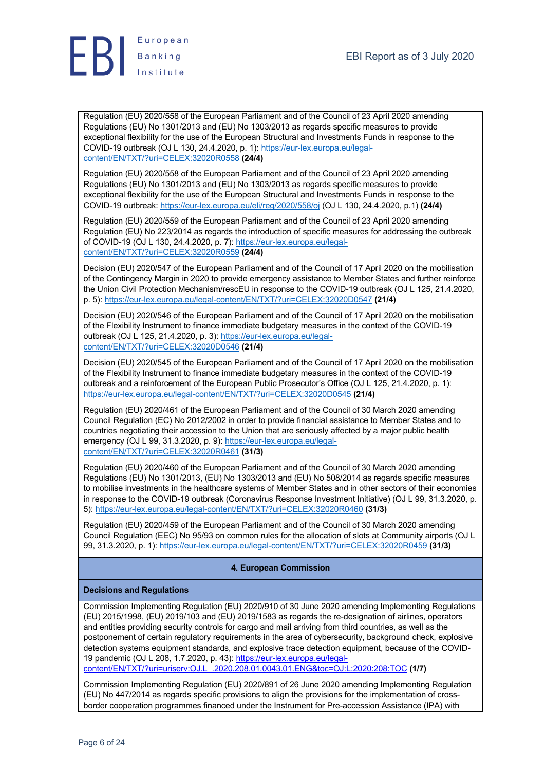



Regulation (EU) 2020/558 of the European Parliament and of the Council of 23 April 2020 amending Regulations (EU) No 1301/2013 and (EU) No 1303/2013 as regards specific measures to provide exceptional flexibility for the use of the European Structural and Investments Funds in response to the COVID-19 outbreak (OJ L 130, 24.4.2020, p. 1): https://eur-lex.europa.eu/legalcontent/EN/TXT/?uri=CELEX:32020R0558 **(24/4)**

Regulation (EU) 2020/558 of the European Parliament and of the Council of 23 April 2020 amending Regulations (EU) No 1301/2013 and (EU) No 1303/2013 as regards specific measures to provide exceptional flexibility for the use of the European Structural and Investments Funds in response to the COVID-19 outbreak: https://eur-lex.europa.eu/eli/reg/2020/558/oj (OJ L 130, 24.4.2020, p.1) **(24/4)**

Regulation (EU) 2020/559 of the European Parliament and of the Council of 23 April 2020 amending Regulation (EU) No 223/2014 as regards the introduction of specific measures for addressing the outbreak of COVID-19 (OJ L 130, 24.4.2020, p. 7): https://eur-lex.europa.eu/legalcontent/EN/TXT/?uri=CELEX:32020R0559 **(24/4)**

Decision (EU) 2020/547 of the European Parliament and of the Council of 17 April 2020 on the mobilisation of the Contingency Margin in 2020 to provide emergency assistance to Member States and further reinforce the Union Civil Protection Mechanism/rescEU in response to the COVID-19 outbreak (OJ L 125, 21.4.2020, p. 5): https://eur-lex.europa.eu/legal-content/EN/TXT/?uri=CELEX:32020D0547 **(21/4)**

Decision (EU) 2020/546 of the European Parliament and of the Council of 17 April 2020 on the mobilisation of the Flexibility Instrument to finance immediate budgetary measures in the context of the COVID-19 outbreak (OJ L 125, 21.4.2020, p. 3): https://eur-lex.europa.eu/legalcontent/EN/TXT/?uri=CELEX:32020D0546 **(21/4)**

Decision (EU) 2020/545 of the European Parliament and of the Council of 17 April 2020 on the mobilisation of the Flexibility Instrument to finance immediate budgetary measures in the context of the COVID-19 outbreak and a reinforcement of the European Public Prosecutor's Office (OJ L 125, 21.4.2020, p. 1): https://eur-lex.europa.eu/legal-content/EN/TXT/?uri=CELEX:32020D0545 **(21/4)**

Regulation (EU) 2020/461 of the European Parliament and of the Council of 30 March 2020 amending Council Regulation (EC) No 2012/2002 in order to provide financial assistance to Member States and to countries negotiating their accession to the Union that are seriously affected by a major public health emergency (OJ L 99, 31.3.2020, p. 9): https://eur-lex.europa.eu/legalcontent/EN/TXT/?uri=CELEX:32020R0461 **(31/3)**

Regulation (EU) 2020/460 of the European Parliament and of the Council of 30 March 2020 amending Regulations (EU) No 1301/2013, (EU) No 1303/2013 and (EU) No 508/2014 as regards specific measures to mobilise investments in the healthcare systems of Member States and in other sectors of their economies in response to the COVID-19 outbreak (Coronavirus Response Investment Initiative) (OJ L 99, 31.3.2020, p. 5): https://eur-lex.europa.eu/legal-content/EN/TXT/?uri=CELEX:32020R0460 **(31/3)**

Regulation (EU) 2020/459 of the European Parliament and of the Council of 30 March 2020 amending Council Regulation (EEC) No 95/93 on common rules for the allocation of slots at Community airports (OJ L 99, 31.3.2020, p. 1): https://eur-lex.europa.eu/legal-content/EN/TXT/?uri=CELEX:32020R0459 **(31/3)**

# **4. European Commission**

#### **Decisions and Regulations**

Commission Implementing Regulation (EU) 2020/910 of 30 June 2020 amending Implementing Regulations (EU) 2015/1998, (EU) 2019/103 and (EU) 2019/1583 as regards the re-designation of airlines, operators and entities providing security controls for cargo and mail arriving from third countries, as well as the postponement of certain regulatory requirements in the area of cybersecurity, background check, explosive detection systems equipment standards, and explosive trace detection equipment, because of the COVID-19 pandemic (OJ L 208, 1.7.2020, p. 43): https://eur-lex.europa.eu/legalcontent/EN/TXT/?uri=uriserv:OJ.L\_.2020.208.01.0043.01.ENG&toc=OJ:L:2020:208:TOC **(1/7)**

Commission Implementing Regulation (EU) 2020/891 of 26 June 2020 amending Implementing Regulation (EU) No 447/2014 as regards specific provisions to align the provisions for the implementation of crossborder cooperation programmes financed under the Instrument for Pre-accession Assistance (IPA) with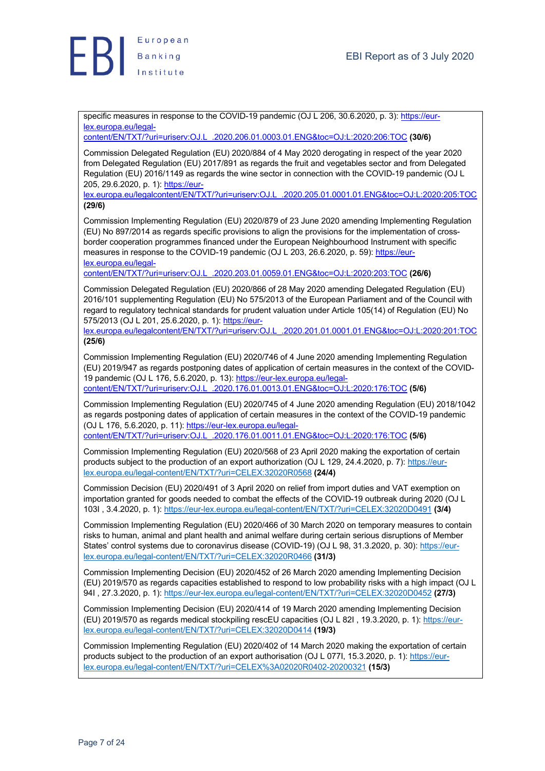

specific measures in response to the COVID-19 pandemic (OJ L 206, 30.6.2020, p. 3): https://eurlex.europa.eu/legal-

content/EN/TXT/?uri=uriserv:OJ.L\_.2020.206.01.0003.01.ENG&toc=OJ:L:2020:206:TOC **(30/6)**

Commission Delegated Regulation (EU) 2020/884 of 4 May 2020 derogating in respect of the year 2020 from Delegated Regulation (EU) 2017/891 as regards the fruit and vegetables sector and from Delegated Regulation (EU) 2016/1149 as regards the wine sector in connection with the COVID-19 pandemic (OJ L 205, 29.6.2020, p. 1): https://eur-

lex.europa.eu/legalcontent/EN/TXT/?uri=uriserv:OJ.L\_.2020.205.01.0001.01.ENG&toc=OJ:L:2020:205:TOC **(29/6)**

Commission Implementing Regulation (EU) 2020/879 of 23 June 2020 amending Implementing Regulation (EU) No 897/2014 as regards specific provisions to align the provisions for the implementation of crossborder cooperation programmes financed under the European Neighbourhood Instrument with specific measures in response to the COVID-19 pandemic (OJ L 203, 26.6.2020, p. 59): https://eurlex.europa.eu/legal-

content/EN/TXT/?uri=uriserv:OJ.L\_.2020.203.01.0059.01.ENG&toc=OJ:L:2020:203:TOC **(26/6)**

Commission Delegated Regulation (EU) 2020/866 of 28 May 2020 amending Delegated Regulation (EU) 2016/101 supplementing Regulation (EU) No 575/2013 of the European Parliament and of the Council with regard to regulatory technical standards for prudent valuation under Article 105(14) of Regulation (EU) No 575/2013 (OJ L 201, 25.6.2020, p. 1): https://eur-

lex.europa.eu/legalcontent/EN/TXT/?uri=uriserv:OJ.L\_.2020.201.01.0001.01.ENG&toc=OJ:L:2020:201:TOC **(25/6)**

Commission Implementing Regulation (EU) 2020/746 of 4 June 2020 amending Implementing Regulation (EU) 2019/947 as regards postponing dates of application of certain measures in the context of the COVID-19 pandemic (OJ L 176, 5.6.2020, p. 13): https://eur-lex.europa.eu/legalcontent/EN/TXT/?uri=uriserv:OJ.L\_.2020.176.01.0013.01.ENG&toc=OJ:L:2020:176:TOC **(5/6)**

Commission Implementing Regulation (EU) 2020/745 of 4 June 2020 amending Regulation (EU) 2018/1042 as regards postponing dates of application of certain measures in the context of the COVID-19 pandemic (OJ L 176, 5.6.2020, p. 11): https://eur-lex.europa.eu/legalcontent/EN/TXT/?uri=uriserv:OJ.L\_.2020.176.01.0011.01.ENG&toc=OJ:L:2020:176:TOC **(5/6)**

Commission Implementing Regulation (EU) 2020/568 of 23 April 2020 making the exportation of certain products subject to the production of an export authorization (OJ L 129, 24.4.2020, p. 7): https://eurlex.europa.eu/legal-content/EN/TXT/?uri=CELEX:32020R0568 **(24/4)**

Commission Decision (EU) 2020/491 of 3 April 2020 on relief from import duties and VAT exemption on importation granted for goods needed to combat the effects of the COVID-19 outbreak during 2020 (OJ L 103I , 3.4.2020, p. 1): https://eur-lex.europa.eu/legal-content/EN/TXT/?uri=CELEX:32020D0491 **(3/4)**

Commission Implementing Regulation (EU) 2020/466 of 30 March 2020 on temporary measures to contain risks to human, animal and plant health and animal welfare during certain serious disruptions of Member States' control systems due to coronavirus disease (COVID-19) (OJ L 98, 31.3.2020, p. 30): https://eurlex.europa.eu/legal-content/EN/TXT/?uri=CELEX:32020R0466 **(31/3)**

Commission Implementing Decision (EU) 2020/452 of 26 March 2020 amending Implementing Decision (EU) 2019/570 as regards capacities established to respond to low probability risks with a high impact (OJ L 94I , 27.3.2020, p. 1): https://eur-lex.europa.eu/legal-content/EN/TXT/?uri=CELEX:32020D0452 **(27/3)**

Commission Implementing Decision (EU) 2020/414 of 19 March 2020 amending Implementing Decision (EU) 2019/570 as regards medical stockpiling rescEU capacities (OJ L 82I , 19.3.2020, p. 1): https://eurlex.europa.eu/legal-content/EN/TXT/?uri=CELEX:32020D0414 **(19/3)**

Commission Implementing Regulation (EU) 2020/402 of 14 March 2020 making the exportation of certain products subject to the production of an export authorisation (OJ L 077I, 15.3.2020, p. 1): https://eurlex.europa.eu/legal-content/EN/TXT/?uri=CELEX%3A02020R0402-20200321 **(15/3)**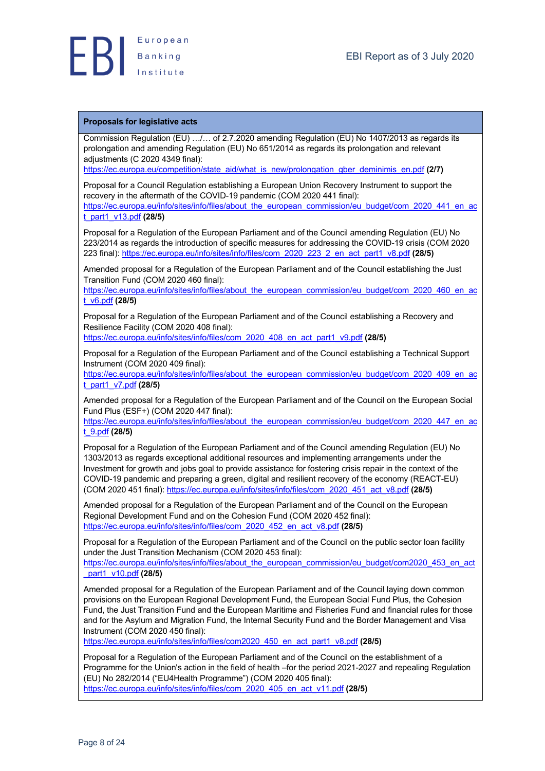

#### **Proposals for legislative acts**

Commission Regulation (EU) …/… of 2.7.2020 amending Regulation (EU) No 1407/2013 as regards its prolongation and amending Regulation (EU) No 651/2014 as regards its prolongation and relevant adjustments (C 2020 4349 final):

https://ec.europa.eu/competition/state\_aid/what\_is\_new/prolongation\_gber\_deminimis\_en.pdf **(2/7)**

Proposal for a Council Regulation establishing a European Union Recovery Instrument to support the recovery in the aftermath of the COVID-19 pandemic (COM 2020 441 final): https://ec.europa.eu/info/sites/info/files/about\_the\_european\_commission/eu\_budget/com\_2020\_441\_en\_ac t\_part1\_v13.pdf **(28/5)**

Proposal for a Regulation of the European Parliament and of the Council amending Regulation (EU) No 223/2014 as regards the introduction of specific measures for addressing the COVID-19 crisis (COM 2020 223 final): https://ec.europa.eu/info/sites/info/files/com\_2020\_223\_2\_en\_act\_part1\_v8.pdf **(28/5)**

Amended proposal for a Regulation of the European Parliament and of the Council establishing the Just Transition Fund (COM 2020 460 final):

https://ec.europa.eu/info/sites/info/files/about\_the\_european\_commission/eu\_budget/com\_2020\_460\_en\_ac t\_v6.pdf **(28/5)**

Proposal for a Regulation of the European Parliament and of the Council establishing a Recovery and Resilience Facility (COM 2020 408 final):

https://ec.europa.eu/info/sites/info/files/com\_2020\_408\_en\_act\_part1\_v9.pdf **(28/5)**

Proposal for a Regulation of the European Parliament and of the Council establishing a Technical Support Instrument (COM 2020 409 final):

https://ec.europa.eu/info/sites/info/files/about\_the\_european\_commission/eu\_budget/com\_2020\_409\_en\_ac t\_part1\_v7.pdf **(28/5)**

Amended proposal for a Regulation of the European Parliament and of the Council on the European Social Fund Plus (ESF+) (COM 2020 447 final):

https://ec.europa.eu/info/sites/info/files/about\_the\_european\_commission/eu\_budget/com\_2020\_447\_en\_ac t\_9.pdf **(28/5)**

Proposal for a Regulation of the European Parliament and of the Council amending Regulation (EU) No 1303/2013 as regards exceptional additional resources and implementing arrangements under the Investment for growth and jobs goal to provide assistance for fostering crisis repair in the context of the COVID-19 pandemic and preparing a green, digital and resilient recovery of the economy (REACT-EU) (COM 2020 451 final): https://ec.europa.eu/info/sites/info/files/com\_2020\_451\_act\_v8.pdf **(28/5)**

Amended proposal for a Regulation of the European Parliament and of the Council on the European Regional Development Fund and on the Cohesion Fund (COM 2020 452 final): https://ec.europa.eu/info/sites/info/files/com\_2020\_452\_en\_act\_v8.pdf **(28/5)**

Proposal for a Regulation of the European Parliament and of the Council on the public sector loan facility under the Just Transition Mechanism (COM 2020 453 final):

https://ec.europa.eu/info/sites/info/files/about\_the\_european\_commission/eu\_budget/com2020\_453\_en\_act \_part1\_v10.pdf **(28/5)**

Amended proposal for a Regulation of the European Parliament and of the Council laying down common provisions on the European Regional Development Fund, the European Social Fund Plus, the Cohesion Fund, the Just Transition Fund and the European Maritime and Fisheries Fund and financial rules for those and for the Asylum and Migration Fund, the Internal Security Fund and the Border Management and Visa Instrument (COM 2020 450 final):

https://ec.europa.eu/info/sites/info/files/com2020\_450\_en\_act\_part1\_v8.pdf **(28/5)**

Proposal for a Regulation of the European Parliament and of the Council on the establishment of a Programme for the Union's action in the field of health –for the period 2021-2027 and repealing Regulation (EU) No 282/2014 ("EU4Health Programme") (COM 2020 405 final): https://ec.europa.eu/info/sites/info/files/com\_2020\_405\_en\_act\_v11.pdf **(28/5)**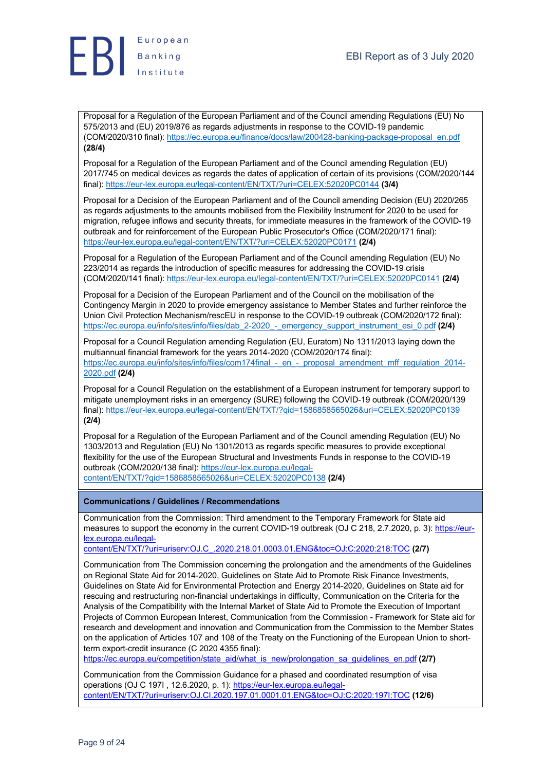

Proposal for a Regulation of the European Parliament and of the Council amending Regulations (EU) No 575/2013 and (EU) 2019/876 as regards adjustments in response to the COVID-19 pandemic (COM/2020/310 final): https://ec.europa.eu/finance/docs/law/200428-banking-package-proposal\_en.pdf **(28/4)**

Proposal for a Regulation of the European Parliament and of the Council amending Regulation (EU) 2017/745 on medical devices as regards the dates of application of certain of its provisions (COM/2020/144 final): https://eur-lex.europa.eu/legal-content/EN/TXT/?uri=CELEX:52020PC0144 **(3/4)**

Proposal for a Decision of the European Parliament and of the Council amending Decision (EU) 2020/265 as regards adjustments to the amounts mobilised from the Flexibility Instrument for 2020 to be used for migration, refugee inflows and security threats, for immediate measures in the framework of the COVID-19 outbreak and for reinforcement of the European Public Prosecutor's Office (COM/2020/171 final): https://eur-lex.europa.eu/legal-content/EN/TXT/?uri=CELEX:52020PC0171 **(2/4)**

Proposal for a Regulation of the European Parliament and of the Council amending Regulation (EU) No 223/2014 as regards the introduction of specific measures for addressing the COVID-19 crisis (COM/2020/141 final): https://eur-lex.europa.eu/legal-content/EN/TXT/?uri=CELEX:52020PC0141 **(2/4)**

Proposal for a Decision of the European Parliament and of the Council on the mobilisation of the Contingency Margin in 2020 to provide emergency assistance to Member States and further reinforce the Union Civil Protection Mechanism/rescEU in response to the COVID-19 outbreak (COM/2020/172 final): https://ec.europa.eu/info/sites/info/files/dab\_2-2020\_-\_emergency\_support\_instrument\_esi\_0.pdf **(2/4)**

Proposal for a Council Regulation amending Regulation (EU, Euratom) No 1311/2013 laying down the multiannual financial framework for the years 2014-2020 (COM/2020/174 final): https://ec.europa.eu/info/sites/info/files/com174final - en - proposal\_amendment\_mff\_regulation\_2014-2020.pdf **(2/4)**

Proposal for a Council Regulation on the establishment of a European instrument for temporary support to mitigate unemployment risks in an emergency (SURE) following the COVID-19 outbreak (COM/2020/139 final): https://eur-lex.europa.eu/legal-content/EN/TXT/?qid=1586858565026&uri=CELEX:52020PC0139 **(2/4)**

Proposal for a Regulation of the European Parliament and of the Council amending Regulation (EU) No 1303/2013 and Regulation (EU) No 1301/2013 as regards specific measures to provide exceptional flexibility for the use of the European Structural and Investments Funds in response to the COVID-19 outbreak (COM/2020/138 final): https://eur-lex.europa.eu/legalcontent/EN/TXT/?qid=1586858565026&uri=CELEX:52020PC0138 **(2/4)**

**Communications / Guidelines / Recommendations**

Communication from the Commission: Third amendment to the Temporary Framework for State aid measures to support the economy in the current COVID-19 outbreak (OJ C 218, 2.7.2020, p. 3): https://eurlex.europa.eu/legal-

content/EN/TXT/?uri=uriserv:OJ.C\_.2020.218.01.0003.01.ENG&toc=OJ:C:2020:218:TOC **(2/7)**

Communication from The Commission concerning the prolongation and the amendments of the Guidelines on Regional State Aid for 2014-2020, Guidelines on State Aid to Promote Risk Finance Investments, Guidelines on State Aid for Environmental Protection and Energy 2014-2020, Guidelines on State aid for rescuing and restructuring non-financial undertakings in difficulty, Communication on the Criteria for the Analysis of the Compatibility with the Internal Market of State Aid to Promote the Execution of Important Projects of Common European Interest, Communication from the Commission - Framework for State aid for research and development and innovation and Communication from the Commission to the Member States on the application of Articles 107 and 108 of the Treaty on the Functioning of the European Union to shortterm export-credit insurance (C 2020 4355 final):

https://ec.europa.eu/competition/state\_aid/what\_is\_new/prolongation\_sa\_guidelines\_en.pdf **(2/7)**

Communication from the Commission Guidance for a phased and coordinated resumption of visa operations (OJ C 197I, 12.6.2020, p. 1): https://eur-lex.europa.eu/legalcontent/EN/TXT/?uri=uriserv:OJ.CI.2020.197.01.0001.01.ENG&toc=OJ:C:2020:197I:TOC **(12/6)**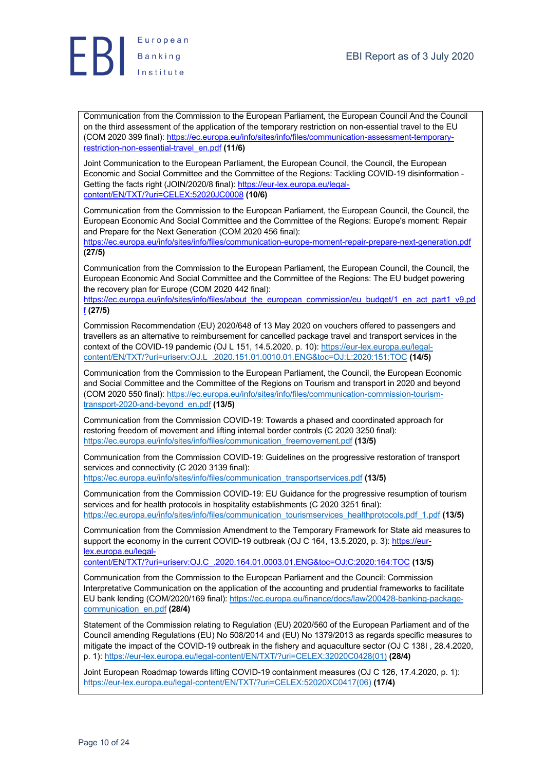

Communication from the Commission to the European Parliament, the European Council And the Council on the third assessment of the application of the temporary restriction on non-essential travel to the EU (COM 2020 399 final): https://ec.europa.eu/info/sites/info/files/communication-assessment-temporaryrestriction-non-essential-travel\_en.pdf **(11/6)**

Joint Communication to the European Parliament, the European Council, the Council, the European Economic and Social Committee and the Committee of the Regions: Tackling COVID-19 disinformation - Getting the facts right (JOIN/2020/8 final): https://eur-lex.europa.eu/legalcontent/EN/TXT/?uri=CELEX:52020JC0008 **(10/6)**

Communication from the Commission to the European Parliament, the European Council, the Council, the European Economic And Social Committee and the Committee of the Regions: Europe's moment: Repair and Prepare for the Next Generation (COM 2020 456 final):

https://ec.europa.eu/info/sites/info/files/communication-europe-moment-repair-prepare-next-generation.pdf **(27/5)**

Communication from the Commission to the European Parliament, the European Council, the Council, the European Economic And Social Committee and the Committee of the Regions: The EU budget powering the recovery plan for Europe (COM 2020 442 final):

https://ec.europa.eu/info/sites/info/files/about\_the\_european\_commission/eu\_budget/1\_en\_act\_part1\_v9.pd f **(27/5)**

Commission Recommendation (EU) 2020/648 of 13 May 2020 on vouchers offered to passengers and travellers as an alternative to reimbursement for cancelled package travel and transport services in the context of the COVID-19 pandemic (OJ L 151, 14.5.2020, p. 10): https://eur-lex.europa.eu/legalcontent/EN/TXT/?uri=uriserv:OJ.L\_.2020.151.01.0010.01.ENG&toc=OJ:L:2020:151:TOC **(14/5)**

Communication from the Commission to the European Parliament, the Council, the European Economic and Social Committee and the Committee of the Regions on Tourism and transport in 2020 and beyond (COM 2020 550 final): https://ec.europa.eu/info/sites/info/files/communication-commission-tourismtransport-2020-and-beyond\_en.pdf **(13/5)**

Communication from the Commission COVID-19: Towards a phased and coordinated approach for restoring freedom of movement and lifting internal border controls (C 2020 3250 final): https://ec.europa.eu/info/sites/info/files/communication\_freemovement.pdf **(13/5)**

Communication from the Commission COVID-19: Guidelines on the progressive restoration of transport services and connectivity (C 2020 3139 final):

https://ec.europa.eu/info/sites/info/files/communication\_transportservices.pdf **(13/5)**

Communication from the Commission COVID-19: EU Guidance for the progressive resumption of tourism services and for health protocols in hospitality establishments (C 2020 3251 final): https://ec.europa.eu/info/sites/info/files/communication\_tourismservices\_healthprotocols.pdf\_1.pdf **(13/5)**

Communication from the Commission Amendment to the Temporary Framework for State aid measures to support the economy in the current COVID-19 outbreak (OJ C 164, 13,5,2020, p. 3); https://eurlex.europa.eu/legal-

content/EN/TXT/?uri=uriserv:OJ.C\_.2020.164.01.0003.01.ENG&toc=OJ:C:2020:164:TOC **(13/5)**

Communication from the Commission to the European Parliament and the Council: Commission Interpretative Communication on the application of the accounting and prudential frameworks to facilitate EU bank lending (COM/2020/169 final): https://ec.europa.eu/finance/docs/law/200428-banking-packagecommunication\_en.pdf **(28/4)**

Statement of the Commission relating to Regulation (EU) 2020/560 of the European Parliament and of the Council amending Regulations (EU) No 508/2014 and (EU) No 1379/2013 as regards specific measures to mitigate the impact of the COVID-19 outbreak in the fishery and aquaculture sector (OJ C 138I , 28.4.2020, p. 1): https://eur-lex.europa.eu/legal-content/EN/TXT/?uri=CELEX:32020C0428(01) **(28/4)**

Joint European Roadmap towards lifting COVID-19 containment measures (OJ C 126, 17.4.2020, p. 1): https://eur-lex.europa.eu/legal-content/EN/TXT/?uri=CELEX:52020XC0417(06) **(17/4)**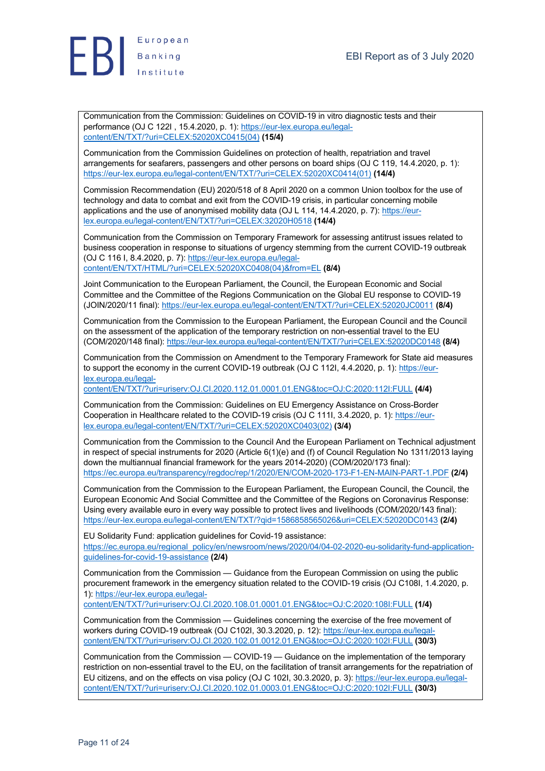

Communication from the Commission: Guidelines on COVID-19 in vitro diagnostic tests and their performance (OJ C 122I , 15.4.2020, p. 1): https://eur-lex.europa.eu/legalcontent/EN/TXT/?uri=CELEX:52020XC0415(04) **(15/4)**

Communication from the Commission Guidelines on protection of health, repatriation and travel arrangements for seafarers, passengers and other persons on board ships (OJ C 119, 14.4.2020, p. 1): https://eur-lex.europa.eu/legal-content/EN/TXT/?uri=CELEX:52020XC0414(01) **(14/4)**

Commission Recommendation (EU) 2020/518 of 8 April 2020 on a common Union toolbox for the use of technology and data to combat and exit from the COVID-19 crisis, in particular concerning mobile applications and the use of anonymised mobility data (OJ L 114, 14.4.2020, p. 7): https://eurlex.europa.eu/legal-content/EN/TXT/?uri=CELEX:32020H0518 **(14/4)**

Communication from the Commission on Temporary Framework for assessing antitrust issues related to business cooperation in response to situations of urgency stemming from the current COVID-19 outbreak (OJ C 116 I, 8.4.2020, p. 7): https://eur-lex.europa.eu/legalcontent/EN/TXT/HTML/?uri=CELEX:52020XC0408(04)&from=EL **(8/4)**

Joint Communication to the European Parliament, the Council, the European Economic and Social Committee and the Committee of the Regions Communication on the Global EU response to COVID-19 (JOIN/2020/11 final): https://eur-lex.europa.eu/legal-content/EN/TXT/?uri=CELEX:52020JC0011 **(8/4)**

Communication from the Commission to the European Parliament, the European Council and the Council on the assessment of the application of the temporary restriction on non-essential travel to the EU (COM/2020/148 final): https://eur-lex.europa.eu/legal-content/EN/TXT/?uri=CELEX:52020DC0148 **(8/4)**

Communication from the Commission on Amendment to the Temporary Framework for State aid measures to support the economy in the current COVID-19 outbreak (OJ C 112I, 4.4.2020, p. 1): https://eurlex.europa.eu/legal-

content/EN/TXT/?uri=uriserv:OJ.CI.2020.112.01.0001.01.ENG&toc=OJ:C:2020:112I:FULL **(4/4)**

Communication from the Commission: Guidelines on EU Emergency Assistance on Cross-Border Cooperation in Healthcare related to the COVID-19 crisis (OJ C 111I, 3.4.2020, p. 1): https://eurlex.europa.eu/legal-content/EN/TXT/?uri=CELEX:52020XC0403(02) **(3/4)**

Communication from the Commission to the Council And the European Parliament on Technical adjustment in respect of special instruments for 2020 (Article 6(1)(e) and (f) of Council Regulation No 1311/2013 laying down the multiannual financial framework for the years 2014-2020) (COM/2020/173 final): https://ec.europa.eu/transparency/regdoc/rep/1/2020/EN/COM-2020-173-F1-EN-MAIN-PART-1.PDF **(2/4)**

Communication from the Commission to the European Parliament, the European Council, the Council, the European Economic And Social Committee and the Committee of the Regions on Coronavirus Response: Using every available euro in every way possible to protect lives and livelihoods (COM/2020/143 final): https://eur-lex.europa.eu/legal-content/EN/TXT/?qid=1586858565026&uri=CELEX:52020DC0143 **(2/4)**

EU Solidarity Fund: application guidelines for Covid-19 assistance: https://ec.europa.eu/regional\_policy/en/newsroom/news/2020/04/04-02-2020-eu-solidarity-fund-applicationguidelines-for-covid-19-assistance **(2/4)**

Communication from the Commission — Guidance from the European Commission on using the public procurement framework in the emergency situation related to the COVID-19 crisis (OJ C108I, 1.4.2020, p. 1): https://eur-lex.europa.eu/legal-

content/EN/TXT/?uri=uriserv:OJ.CI.2020.108.01.0001.01.ENG&toc=OJ:C:2020:108I:FULL **(1/4)**

Communication from the Commission — Guidelines concerning the exercise of the free movement of workers during COVID-19 outbreak (OJ C102I, 30.3.2020, p. 12): https://eur-lex.europa.eu/legalcontent/EN/TXT/?uri=uriserv:OJ.CI.2020.102.01.0012.01.ENG&toc=OJ:C:2020:102I:FULL **(30/3)**

Communication from the Commission — COVID-19 — Guidance on the implementation of the temporary restriction on non-essential travel to the EU, on the facilitation of transit arrangements for the repatriation of EU citizens, and on the effects on visa policy (OJ C 102I, 30.3.2020, p. 3): https://eur-lex.europa.eu/legalcontent/EN/TXT/?uri=uriserv:OJ.CI.2020.102.01.0003.01.ENG&toc=OJ:C:2020:102I:FULL **(30/3)**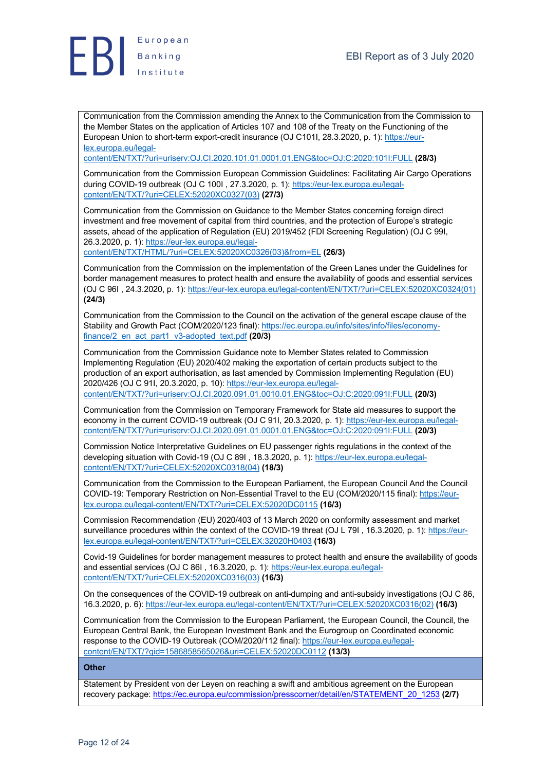

Communication from the Commission amending the Annex to the Communication from the Commission to the Member States on the application of Articles 107 and 108 of the Treaty on the Functioning of the European Union to short-term export-credit insurance (OJ C101I, 28.3.2020, p. 1): https://eurlex.europa.eu/legal-

content/EN/TXT/?uri=uriserv:OJ.CI.2020.101.01.0001.01.ENG&toc=OJ:C:2020:101I:FULL **(28/3)**

Communication from the Commission European Commission Guidelines: Facilitating Air Cargo Operations during COVID-19 outbreak (OJ C 100I, 27.3.2020, p. 1): https://eur-lex.europa.eu/legalcontent/EN/TXT/?uri=CELEX:52020XC0327(03) **(27/3)**

Communication from the Commission on Guidance to the Member States concerning foreign direct investment and free movement of capital from third countries, and the protection of Europe's strategic assets, ahead of the application of Regulation (EU) 2019/452 (FDI Screening Regulation) (OJ C 99I, 26.3.2020, p. 1): https://eur-lex.europa.eu/legal-

content/EN/TXT/HTML/?uri=CELEX:52020XC0326(03)&from=EL **(26/3)**

Communication from the Commission on the implementation of the Green Lanes under the Guidelines for border management measures to protect health and ensure the availability of goods and essential services (OJ C 96I , 24.3.2020, p. 1): https://eur-lex.europa.eu/legal-content/EN/TXT/?uri=CELEX:52020XC0324(01) **(24/3)**

Communication from the Commission to the Council on the activation of the general escape clause of the Stability and Growth Pact (COM/2020/123 final): https://ec.europa.eu/info/sites/info/files/economyfinance/2\_en\_act\_part1\_v3-adopted\_text.pdf **(20/3)**

Communication from the Commission Guidance note to Member States related to Commission Implementing Regulation (EU) 2020/402 making the exportation of certain products subject to the production of an export authorisation, as last amended by Commission Implementing Regulation (EU) 2020/426 (OJ C 91I, 20.3.2020, p. 10): https://eur-lex.europa.eu/legalcontent/EN/TXT/?uri=uriserv:OJ.CI.2020.091.01.0010.01.ENG&toc=OJ:C:2020:091I:FULL **(20/3)**

Communication from the Commission on Temporary Framework for State aid measures to support the economy in the current COVID-19 outbreak (OJ C 91I, 20.3.2020, p. 1): https://eur-lex.europa.eu/legalcontent/EN/TXT/?uri=uriserv:OJ.CI.2020.091.01.0001.01.ENG&toc=OJ:C:2020:091I:FULL **(20/3)**

Commission Notice Interpretative Guidelines on EU passenger rights regulations in the context of the developing situation with Covid-19 (OJ C 89I , 18.3.2020, p. 1): https://eur-lex.europa.eu/legalcontent/EN/TXT/?uri=CELEX:52020XC0318(04) **(18/3)**

Communication from the Commission to the European Parliament, the European Council And the Council COVID-19: Temporary Restriction on Non-Essential Travel to the EU (COM/2020/115 final): https://eurlex.europa.eu/legal-content/EN/TXT/?uri=CELEX:52020DC0115 **(16/3)**

Commission Recommendation (EU) 2020/403 of 13 March 2020 on conformity assessment and market surveillance procedures within the context of the COVID-19 threat (OJ L 79I , 16.3.2020, p. 1): https://eurlex.europa.eu/legal-content/EN/TXT/?uri=CELEX:32020H0403 **(16/3)**

Covid-19 Guidelines for border management measures to protect health and ensure the availability of goods and essential services (OJ C 86I , 16.3.2020, p. 1): https://eur-lex.europa.eu/legalcontent/EN/TXT/?uri=CELEX:52020XC0316(03) **(16/3)**

On the consequences of the COVID-19 outbreak on anti-dumping and anti-subsidy investigations (OJ C 86, 16.3.2020, p. 6): https://eur-lex.europa.eu/legal-content/EN/TXT/?uri=CELEX:52020XC0316(02) **(16/3)**

Communication from the Commission to the European Parliament, the European Council, the Council, the European Central Bank, the European Investment Bank and the Eurogroup on Coordinated economic response to the COVID-19 Outbreak (COM/2020/112 final): https://eur-lex.europa.eu/legalcontent/EN/TXT/?qid=1586858565026&uri=CELEX:52020DC0112 **(13/3)**

#### **Other**

Statement by President von der Leyen on reaching a swift and ambitious agreement on the European recovery package: https://ec.europa.eu/commission/presscorner/detail/en/STATEMENT\_20\_1253 **(2/7)**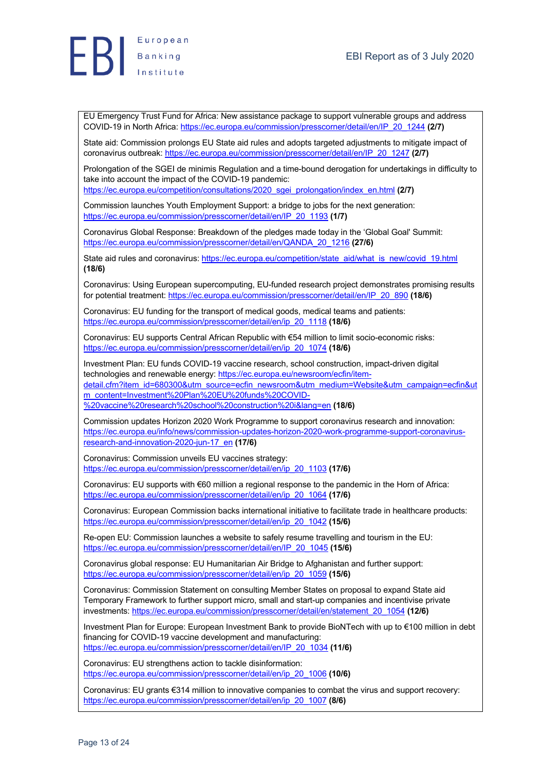

EU Emergency Trust Fund for Africa: New assistance package to support vulnerable groups and address COVID-19 in North Africa: https://ec.europa.eu/commission/presscorner/detail/en/IP\_20\_1244 **(2/7)**

State aid: Commission prolongs EU State aid rules and adopts targeted adjustments to mitigate impact of coronavirus outbreak: https://ec.europa.eu/commission/presscorner/detail/en/IP\_20\_1247 **(2/7)**

Prolongation of the SGEI de minimis Regulation and a time-bound derogation for undertakings in difficulty to take into account the impact of the COVID-19 pandemic:

https://ec.europa.eu/competition/consultations/2020\_sgei\_prolongation/index\_en.html **(2/7)**

Commission launches Youth Employment Support: a bridge to jobs for the next generation: https://ec.europa.eu/commission/presscorner/detail/en/IP\_20\_1193 **(1/7)**

Coronavirus Global Response: Breakdown of the pledges made today in the 'Global Goal' Summit: https://ec.europa.eu/commission/presscorner/detail/en/QANDA\_20\_1216 **(27/6)**

State aid rules and coronavirus: https://ec.europa.eu/competition/state\_aid/what\_is\_new/covid\_19.html **(18/6)**

Coronavirus: Using European supercomputing, EU-funded research project demonstrates promising results for potential treatment: https://ec.europa.eu/commission/presscorner/detail/en/IP\_20\_890 **(18/6)**

Coronavirus: EU funding for the transport of medical goods, medical teams and patients: https://ec.europa.eu/commission/presscorner/detail/en/ip\_20\_1118 **(18/6)**

Coronavirus: EU supports Central African Republic with €54 million to limit socio-economic risks: https://ec.europa.eu/commission/presscorner/detail/en/ip\_20\_1074 **(18/6)**

Investment Plan: EU funds COVID-19 vaccine research, school construction, impact-driven digital technologies and renewable energy: https://ec.europa.eu/newsroom/ecfin/itemdetail.cfm?item\_id=680300&utm\_source=ecfin\_newsroom&utm\_medium=Website&utm\_campaign=ecfin&ut m\_content=Investment%20Plan%20EU%20funds%20COVID- %20vaccine%20research%20school%20construction%20i&lang=en **(18/6)**

Commission updates Horizon 2020 Work Programme to support coronavirus research and innovation: https://ec.europa.eu/info/news/commission-updates-horizon-2020-work-programme-support-coronavirusresearch-and-innovation-2020-jun-17\_en **(17/6)**

Coronavirus: Commission unveils EU vaccines strategy: https://ec.europa.eu/commission/presscorner/detail/en/ip\_20\_1103 **(17/6)**

Coronavirus: EU supports with €60 million a regional response to the pandemic in the Horn of Africa: https://ec.europa.eu/commission/presscorner/detail/en/ip\_20\_1064 **(17/6)**

Coronavirus: European Commission backs international initiative to facilitate trade in healthcare products: https://ec.europa.eu/commission/presscorner/detail/en/ip\_20\_1042 **(15/6)**

Re-open EU: Commission launches a website to safely resume travelling and tourism in the EU: https://ec.europa.eu/commission/presscorner/detail/en/IP\_20\_1045 **(15/6)**

Coronavirus global response: EU Humanitarian Air Bridge to Afghanistan and further support: https://ec.europa.eu/commission/presscorner/detail/en/ip\_20\_1059 **(15/6)**

Coronavirus: Commission Statement on consulting Member States on proposal to expand State aid Temporary Framework to further support micro, small and start-up companies and incentivise private investments: https://ec.europa.eu/commission/presscorner/detail/en/statement\_20\_1054 **(12/6)**

Investment Plan for Europe: European Investment Bank to provide BioNTech with up to €100 million in debt financing for COVID-19 vaccine development and manufacturing: https://ec.europa.eu/commission/presscorner/detail/en/IP\_20\_1034 **(11/6)**

Coronavirus: EU strengthens action to tackle disinformation: https://ec.europa.eu/commission/presscorner/detail/en/ip\_20\_1006 **(10/6)**

Coronavirus: EU grants €314 million to innovative companies to combat the virus and support recovery: https://ec.europa.eu/commission/presscorner/detail/en/ip\_20\_1007 **(8/6)**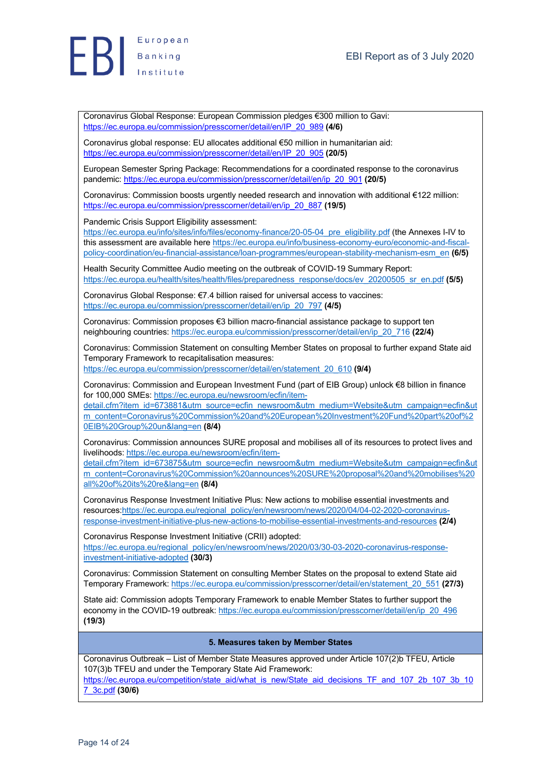

European **EB** Banking

> Coronavirus Global Response: European Commission pledges €300 million to Gavi: https://ec.europa.eu/commission/presscorner/detail/en/IP\_20\_989 **(4/6)**

Coronavirus global response: EU allocates additional €50 million in humanitarian aid: https://ec.europa.eu/commission/presscorner/detail/en/IP\_20\_905 **(20/5)**

European Semester Spring Package: Recommendations for a coordinated response to the coronavirus pandemic: https://ec.europa.eu/commission/presscorner/detail/en/ip\_20\_901 **(20/5)**

Coronavirus: Commission boosts urgently needed research and innovation with additional €122 million: https://ec.europa.eu/commission/presscorner/detail/en/ip\_20\_887 **(19/5)**

Pandemic Crisis Support Eligibility assessment:

https://ec.europa.eu/info/sites/info/files/economy-finance/20-05-04\_pre\_eligibility.pdf (the Annexes I-IV to this assessment are available here https://ec.europa.eu/info/business-economy-euro/economic-and-fiscalpolicy-coordination/eu-financial-assistance/loan-programmes/european-stability-mechanism-esm\_en **(6/5)**

Health Security Committee Audio meeting on the outbreak of COVID-19 Summary Report: https://ec.europa.eu/health/sites/health/files/preparedness\_response/docs/ev\_20200505\_sr\_en.pdf **(5/5)**

Coronavirus Global Response: €7.4 billion raised for universal access to vaccines: https://ec.europa.eu/commission/presscorner/detail/en/ip\_20\_797 **(4/5)**

Coronavirus: Commission proposes €3 billion macro-financial assistance package to support ten neighbouring countries: https://ec.europa.eu/commission/presscorner/detail/en/ip\_20\_716 **(22/4)**

Coronavirus: Commission Statement on consulting Member States on proposal to further expand State aid Temporary Framework to recapitalisation measures: https://ec.europa.eu/commission/presscorner/detail/en/statement\_20\_610 **(9/4)**

Coronavirus: Commission and European Investment Fund (part of EIB Group) unlock €8 billion in finance for 100,000 SMEs: https://ec.europa.eu/newsroom/ecfin/item-

detail.cfm?item\_id=673881&utm\_source=ecfin\_newsroom&utm\_medium=Website&utm\_campaign=ecfin&ut m\_content=Coronavirus%20Commission%20and%20European%20Investment%20Fund%20part%20of%2 0EIB%20Group%20un&lang=en **(8/4)**

Coronavirus: Commission announces SURE proposal and mobilises all of its resources to protect lives and livelihoods: https://ec.europa.eu/newsroom/ecfin/item-

detail.cfm?item\_id=673875&utm\_source=ecfin\_newsroom&utm\_medium=Website&utm\_campaign=ecfin&ut m\_content=Coronavirus%20Commission%20announces%20SURE%20proposal%20and%20mobilises%20 all%20of%20its%20re&lang=en **(8/4)**

Coronavirus Response Investment Initiative Plus: New actions to mobilise essential investments and resources:https://ec.europa.eu/regional\_policy/en/newsroom/news/2020/04/04-02-2020-coronavirusresponse-investment-initiative-plus-new-actions-to-mobilise-essential-investments-and-resources **(2/4)**

Coronavirus Response Investment Initiative (CRII) adopted: https://ec.europa.eu/regional\_policy/en/newsroom/news/2020/03/30-03-2020-coronavirus-responseinvestment-initiative-adopted **(30/3)**

Coronavirus: Commission Statement on consulting Member States on the proposal to extend State aid Temporary Framework: https://ec.europa.eu/commission/presscorner/detail/en/statement\_20\_551 **(27/3)**

State aid: Commission adopts Temporary Framework to enable Member States to further support the economy in the COVID-19 outbreak: https://ec.europa.eu/commission/presscorner/detail/en/ip\_20\_496 **(19/3)**

#### **5. Measures taken by Member States**

Coronavirus Outbreak – List of Member State Measures approved under Article 107(2)b TFEU, Article 107(3)b TFEU and under the Temporary State Aid Framework: https://ec.europa.eu/competition/state\_aid/what\_is\_new/State\_aid\_decisions\_TF\_and\_107\_2b\_107\_3b\_10 7\_3c.pdf **(30/6)**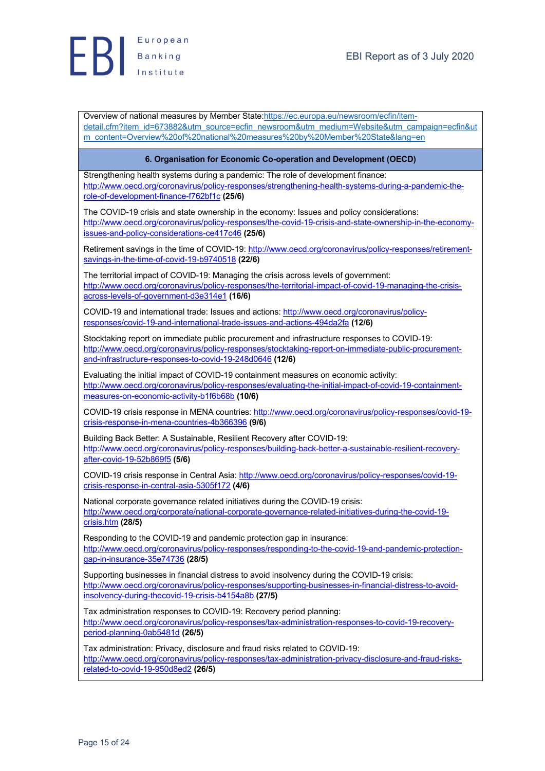

Overview of national measures by Member State:https://ec.europa.eu/newsroom/ecfin/itemdetail.cfm?item\_id=673882&utm\_source=ecfin\_newsroom&utm\_medium=Website&utm\_campaign=ecfin&ut m\_content=Overview%20of%20national%20measures%20by%20Member%20State&lang=en

#### **6. Organisation for Economic Co-operation and Development (OECD)**

Strengthening health systems during a pandemic: The role of development finance: http://www.oecd.org/coronavirus/policy-responses/strengthening-health-systems-during-a-pandemic-therole-of-development-finance-f762bf1c **(25/6)**

The COVID-19 crisis and state ownership in the economy: Issues and policy considerations: http://www.oecd.org/coronavirus/policy-responses/the-covid-19-crisis-and-state-ownership-in-the-economyissues-and-policy-considerations-ce417c46 **(25/6)**

Retirement savings in the time of COVID-19: http://www.oecd.org/coronavirus/policy-responses/retirementsavings-in-the-time-of-covid-19-b9740518 **(22/6)**

The territorial impact of COVID-19: Managing the crisis across levels of government: http://www.oecd.org/coronavirus/policy-responses/the-territorial-impact-of-covid-19-managing-the-crisisacross-levels-of-government-d3e314e1 **(16/6)**

COVID-19 and international trade: Issues and actions: http://www.oecd.org/coronavirus/policyresponses/covid-19-and-international-trade-issues-and-actions-494da2fa **(12/6)**

Stocktaking report on immediate public procurement and infrastructure responses to COVID-19: http://www.oecd.org/coronavirus/policy-responses/stocktaking-report-on-immediate-public-procurementand-infrastructure-responses-to-covid-19-248d0646 **(12/6)**

Evaluating the initial impact of COVID-19 containment measures on economic activity: http://www.oecd.org/coronavirus/policy-responses/evaluating-the-initial-impact-of-covid-19-containmentmeasures-on-economic-activity-b1f6b68b **(10/6)**

COVID-19 crisis response in MENA countries: http://www.oecd.org/coronavirus/policy-responses/covid-19 crisis-response-in-mena-countries-4b366396 **(9/6)**

Building Back Better: A Sustainable, Resilient Recovery after COVID-19: http://www.oecd.org/coronavirus/policy-responses/building-back-better-a-sustainable-resilient-recoveryafter-covid-19-52b869f5 **(5/6)**

COVID-19 crisis response in Central Asia: http://www.oecd.org/coronavirus/policy-responses/covid-19 crisis-response-in-central-asia-5305f172 **(4/6)**

National corporate governance related initiatives during the COVID-19 crisis: http://www.oecd.org/corporate/national-corporate-governance-related-initiatives-during-the-covid-19 crisis.htm **(28/5)**

Responding to the COVID-19 and pandemic protection gap in insurance: http://www.oecd.org/coronavirus/policy-responses/responding-to-the-covid-19-and-pandemic-protectiongap-in-insurance-35e74736 **(28/5)**

Supporting businesses in financial distress to avoid insolvency during the COVID-19 crisis: http://www.oecd.org/coronavirus/policy-responses/supporting-businesses-in-financial-distress-to-avoidinsolvency-during-thecovid-19-crisis-b4154a8b **(27/5)**

Tax administration responses to COVID-19: Recovery period planning:

http://www.oecd.org/coronavirus/policy-responses/tax-administration-responses-to-covid-19-recoveryperiod-planning-0ab5481d **(26/5)**

Tax administration: Privacy, disclosure and fraud risks related to COVID-19: http://www.oecd.org/coronavirus/policy-responses/tax-administration-privacy-disclosure-and-fraud-risksrelated-to-covid-19-950d8ed2 **(26/5)**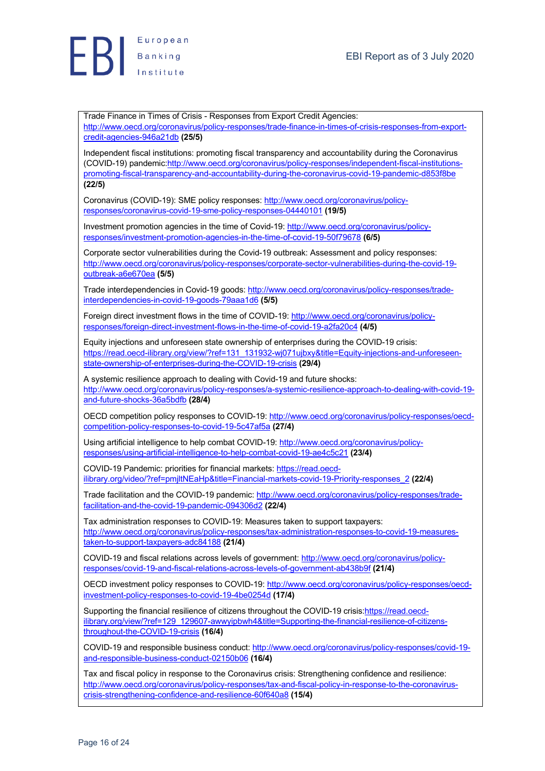

Trade Finance in Times of Crisis - Responses from Export Credit Agencies: http://www.oecd.org/coronavirus/policy-responses/trade-finance-in-times-of-crisis-responses-from-exportcredit-agencies-946a21db **(25/5)**

Independent fiscal institutions: promoting fiscal transparency and accountability during the Coronavirus (COVID-19) pandemic:http://www.oecd.org/coronavirus/policy-responses/independent-fiscal-institutionspromoting-fiscal-transparency-and-accountability-during-the-coronavirus-covid-19-pandemic-d853f8be **(22/5)**

Coronavirus (COVID-19): SME policy responses: http://www.oecd.org/coronavirus/policyresponses/coronavirus-covid-19-sme-policy-responses-04440101 **(19/5)**

Investment promotion agencies in the time of Covid-19: http://www.oecd.org/coronavirus/policyresponses/investment-promotion-agencies-in-the-time-of-covid-19-50f79678 **(6/5)**

Corporate sector vulnerabilities during the Covid-19 outbreak: Assessment and policy responses: http://www.oecd.org/coronavirus/policy-responses/corporate-sector-vulnerabilities-during-the-covid-19 outbreak-a6e670ea **(5/5)**

Trade interdependencies in Covid-19 goods: http://www.oecd.org/coronavirus/policy-responses/tradeinterdependencies-in-covid-19-goods-79aaa1d6 **(5/5)**

Foreign direct investment flows in the time of COVID-19: http://www.oecd.org/coronavirus/policyresponses/foreign-direct-investment-flows-in-the-time-of-covid-19-a2fa20c4 **(4/5)**

Equity injections and unforeseen state ownership of enterprises during the COVID-19 crisis: https://read.oecd-ilibrary.org/view/?ref=131\_131932-wj071ujbxy&title=Equity-injections-and-unforeseenstate-ownership-of-enterprises-during-the-COVID-19-crisis **(29/4)**

A systemic resilience approach to dealing with Covid-19 and future shocks: http://www.oecd.org/coronavirus/policy-responses/a-systemic-resilience-approach-to-dealing-with-covid-19 and-future-shocks-36a5bdfb **(28/4)**

OECD competition policy responses to COVID-19: http://www.oecd.org/coronavirus/policy-responses/oecdcompetition-policy-responses-to-covid-19-5c47af5a **(27/4)**

Using artificial intelligence to help combat COVID-19: http://www.oecd.org/coronavirus/policyresponses/using-artificial-intelligence-to-help-combat-covid-19-ae4c5c21 **(23/4)**

COVID-19 Pandemic: priorities for financial markets: https://read.oecdilibrary.org/video/?ref=pmjltNEaHp&title=Financial-markets-covid-19-Priority-responses\_2 **(22/4)**

Trade facilitation and the COVID-19 pandemic: http://www.oecd.org/coronavirus/policy-responses/tradefacilitation-and-the-covid-19-pandemic-094306d2 **(22/4)**

Tax administration responses to COVID-19: Measures taken to support taxpayers: http://www.oecd.org/coronavirus/policy-responses/tax-administration-responses-to-covid-19-measurestaken-to-support-taxpayers-adc84188 **(21/4)**

COVID-19 and fiscal relations across levels of government: http://www.oecd.org/coronavirus/policyresponses/covid-19-and-fiscal-relations-across-levels-of-government-ab438b9f **(21/4)**

OECD investment policy responses to COVID-19: http://www.oecd.org/coronavirus/policy-responses/oecdinvestment-policy-responses-to-covid-19-4be0254d **(17/4)**

Supporting the financial resilience of citizens throughout the COVID-19 crisis:https://read.oecdilibrary.org/view/?ref=129\_129607-awwyipbwh4&title=Supporting-the-financial-resilience-of-citizensthroughout-the-COVID-19-crisis **(16/4)**

COVID-19 and responsible business conduct: http://www.oecd.org/coronavirus/policy-responses/covid-19 and-responsible-business-conduct-02150b06 **(16/4)**

Tax and fiscal policy in response to the Coronavirus crisis: Strengthening confidence and resilience: http://www.oecd.org/coronavirus/policy-responses/tax-and-fiscal-policy-in-response-to-the-coronaviruscrisis-strengthening-confidence-and-resilience-60f640a8 **(15/4)**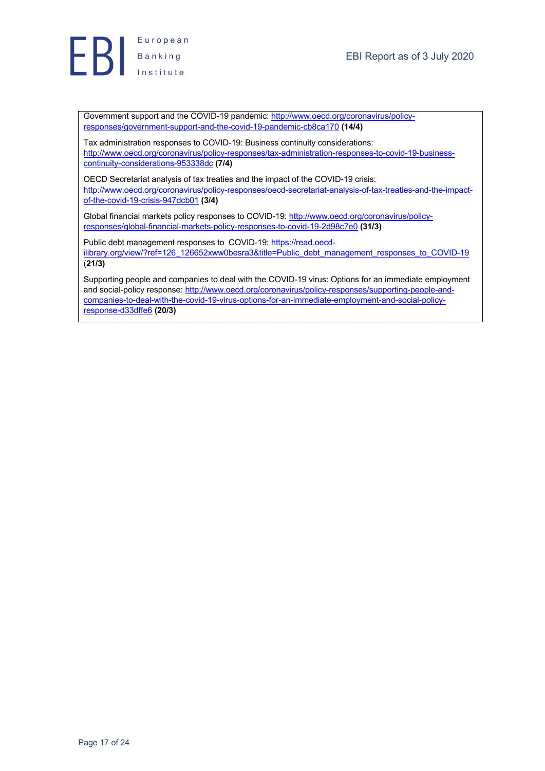

Government support and the COVID-19 pandemic: http://www.oecd.org/coronavirus/policyresponses/government-support-and-the-covid-19-pandemic-cb8ca170 **(14/4)**

Tax administration responses to COVID-19: Business continuity considerations: http://www.oecd.org/coronavirus/policy-responses/tax-administration-responses-to-covid-19-businesscontinuity-considerations-953338dc **(7/4)**

OECD Secretariat analysis of tax treaties and the impact of the COVID-19 crisis: http://www.oecd.org/coronavirus/policy-responses/oecd-secretariat-analysis-of-tax-treaties-and-the-impactof-the-covid-19-crisis-947dcb01 **(3/4)**

Global financial markets policy responses to COVID-19: http://www.oecd.org/coronavirus/policyresponses/global-financial-markets-policy-responses-to-covid-19-2d98c7e0 **(31/3)**

Public debt management responses to COVID-19: https://read.oecdilibrary.org/view/?ref=126\_126652xww0besra3&title=Public\_debt\_management\_responses\_to\_COVID-19 (**21/3)**

Supporting people and companies to deal with the COVID-19 virus: Options for an immediate employment and social-policy response: http://www.oecd.org/coronavirus/policy-responses/supporting-people-andcompanies-to-deal-with-the-covid-19-virus-options-for-an-immediate-employment-and-social-policyresponse-d33dffe6 **(20/3)**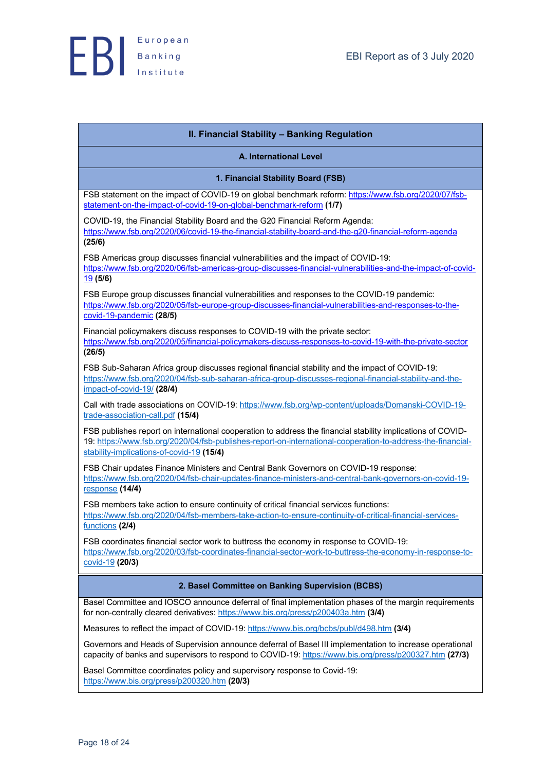

| II. Financial Stability - Banking Regulation                                                                                                                                                                                                                            |
|-------------------------------------------------------------------------------------------------------------------------------------------------------------------------------------------------------------------------------------------------------------------------|
| <b>A. International Level</b>                                                                                                                                                                                                                                           |
| 1. Financial Stability Board (FSB)                                                                                                                                                                                                                                      |
| FSB statement on the impact of COVID-19 on global benchmark reform: https://www.fsb.org/2020/07/fsb-<br>statement-on-the-impact-of-covid-19-on-global-benchmark-reform (1/7)                                                                                            |
| COVID-19, the Financial Stability Board and the G20 Financial Reform Agenda:<br>https://www.fsb.org/2020/06/covid-19-the-financial-stability-board-and-the-g20-financial-reform-agenda<br>(25/6)                                                                        |
| FSB Americas group discusses financial vulnerabilities and the impact of COVID-19:<br>https://www.fsb.org/2020/06/fsb-americas-group-discusses-financial-vulnerabilities-and-the-impact-of-covid-<br>19(5/6)                                                            |
| FSB Europe group discusses financial vulnerabilities and responses to the COVID-19 pandemic:<br>https://www.fsb.org/2020/05/fsb-europe-group-discusses-financial-vulnerabilities-and-responses-to-the-<br>covid-19-pandemic (28/5)                                      |
| Financial policymakers discuss responses to COVID-19 with the private sector:<br>https://www.fsb.org/2020/05/financial-policymakers-discuss-responses-to-covid-19-with-the-private-sector<br>(26/5)                                                                     |
| FSB Sub-Saharan Africa group discusses regional financial stability and the impact of COVID-19:<br>https://www.fsb.org/2020/04/fsb-sub-saharan-africa-group-discusses-regional-financial-stability-and-the-<br>impact-of-covid-19/(28/4)                                |
| Call with trade associations on COVID-19: https://www.fsb.org/wp-content/uploads/Domanski-COVID-19-<br>trade-association-call.pdf (15/4)                                                                                                                                |
| FSB publishes report on international cooperation to address the financial stability implications of COVID-<br>19: https://www.fsb.org/2020/04/fsb-publishes-report-on-international-cooperation-to-address-the-financial-<br>stability-implications-of-covid-19 (15/4) |
| FSB Chair updates Finance Ministers and Central Bank Governors on COVID-19 response:<br>https://www.fsb.org/2020/04/fsb-chair-updates-finance-ministers-and-central-bank-governors-on-covid-19-<br>response (14/4)                                                      |
| FSB members take action to ensure continuity of critical financial services functions:<br>https://www.fsb.org/2020/04/fsb-members-take-action-to-ensure-continuity-of-critical-financial-services-<br>functions (2/4)                                                   |
| FSB coordinates financial sector work to buttress the economy in response to COVID-19:<br>https://www.fsb.org/2020/03/fsb-coordinates-financial-sector-work-to-buttress-the-economy-in-response-to-<br>covid-19 (20/3)                                                  |
| 2. Basel Committee on Banking Supervision (BCBS)                                                                                                                                                                                                                        |
| Basel Committee and IOSCO announce deferral of final implementation phases of the margin requirements<br>for non-centrally cleared derivatives: https://www.bis.org/press/p200403a.htm (3/4)                                                                            |
| Measures to reflect the impact of COVID-19: https://www.bis.org/bcbs/publ/d498.htm (3/4)                                                                                                                                                                                |
| Governors and Heads of Supervision announce deferral of Basel III implementation to increase operational<br>capacity of banks and supervisors to respond to COVID-19: https://www.bis.org/press/p200327.htm (27/3)                                                      |
| Basel Committee coordinates policy and supervisory response to Covid-19:<br>https://www.bis.org/press/p200320.htm (20/3)                                                                                                                                                |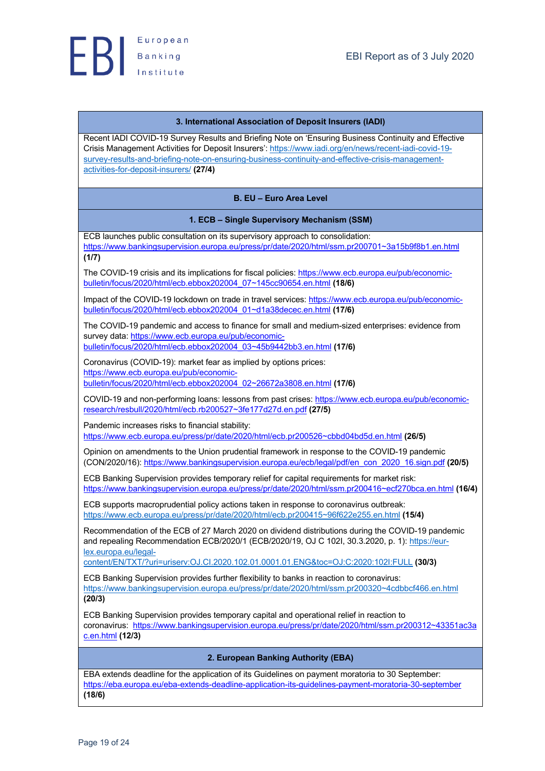#### **3. International Association of Deposit Insurers (IADI)**

Recent IADI COVID-19 Survey Results and Briefing Note on 'Ensuring Business Continuity and Effective Crisis Management Activities for Deposit Insurers': https://www.iadi.org/en/news/recent-iadi-covid-19 survey-results-and-briefing-note-on-ensuring-business-continuity-and-effective-crisis-managementactivities-for-deposit-insurers/ **(27/4)**

#### **B. EU – Euro Area Level**

#### **1. ECB – Single Supervisory Mechanism (SSM)**

ECB launches public consultation on its supervisory approach to consolidation: https://www.bankingsupervision.europa.eu/press/pr/date/2020/html/ssm.pr200701~3a15b9f8b1.en.html **(1/7)**

The COVID-19 crisis and its implications for fiscal policies: https://www.ecb.europa.eu/pub/economicbulletin/focus/2020/html/ecb.ebbox202004\_07~145cc90654.en.html **(18/6)**

Impact of the COVID-19 lockdown on trade in travel services: https://www.ecb.europa.eu/pub/economicbulletin/focus/2020/html/ecb.ebbox202004\_01~d1a38decec.en.html **(17/6)**

The COVID-19 pandemic and access to finance for small and medium-sized enterprises: evidence from survey data: https://www.ecb.europa.eu/pub/economic-

bulletin/focus/2020/html/ecb.ebbox202004\_03~45b9442bb3.en.html **(17/6)**

Coronavirus (COVID-19): market fear as implied by options prices: https://www.ecb.europa.eu/pub/economicbulletin/focus/2020/html/ecb.ebbox202004\_02~26672a3808.en.html **(17/6)**

COVID-19 and non-performing loans: lessons from past crises: https://www.ecb.europa.eu/pub/economicresearch/resbull/2020/html/ecb.rb200527~3fe177d27d.en.pdf **(27/5)**

Pandemic increases risks to financial stability:

https://www.ecb.europa.eu/press/pr/date/2020/html/ecb.pr200526~cbbd04bd5d.en.html **(26/5)**

Opinion on amendments to the Union prudential framework in response to the COVID-19 pandemic (CON/2020/16): https://www.bankingsupervision.europa.eu/ecb/legal/pdf/en\_con\_2020\_16.sign.pdf **(20/5)**

ECB Banking Supervision provides temporary relief for capital requirements for market risk: https://www.bankingsupervision.europa.eu/press/pr/date/2020/html/ssm.pr200416~ecf270bca.en.html **(16/4)**

ECB supports macroprudential policy actions taken in response to coronavirus outbreak: https://www.ecb.europa.eu/press/pr/date/2020/html/ecb.pr200415~96f622e255.en.html **(15/4)**

Recommendation of the ECB of 27 March 2020 on dividend distributions during the COVID-19 pandemic and repealing Recommendation ECB/2020/1 (ECB/2020/19, OJ C 102I, 30.3.2020, p. 1): https://eurlex.europa.eu/legal-

content/EN/TXT/?uri=uriserv:OJ.CI.2020.102.01.0001.01.ENG&toc=OJ:C:2020:102I:FULL **(30/3)**

ECB Banking Supervision provides further flexibility to banks in reaction to coronavirus: https://www.bankingsupervision.europa.eu/press/pr/date/2020/html/ssm.pr200320~4cdbbcf466.en.html **(20/3)**

ECB Banking Supervision provides temporary capital and operational relief in reaction to coronavirus: https://www.bankingsupervision.europa.eu/press/pr/date/2020/html/ssm.pr200312~43351ac3a c.en.html **(12/3)**

#### **2. European Banking Authority (EBA)**

EBA extends deadline for the application of its Guidelines on payment moratoria to 30 September: https://eba.europa.eu/eba-extends-deadline-application-its-guidelines-payment-moratoria-30-september **(18/6)**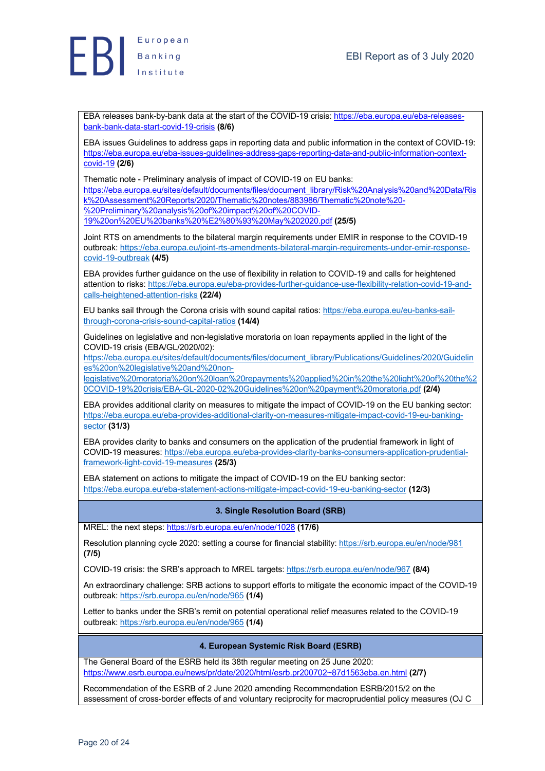

EBA releases bank-by-bank data at the start of the COVID-19 crisis: https://eba.europa.eu/eba-releasesbank-bank-data-start-covid-19-crisis **(8/6)**

EBA issues Guidelines to address gaps in reporting data and public information in the context of COVID-19: https://eba.europa.eu/eba-issues-guidelines-address-gaps-reporting-data-and-public-information-contextcovid-19 **(2/6)**

Thematic note - Preliminary analysis of impact of COVID-19 on EU banks:

https://eba.europa.eu/sites/default/documents/files/document\_library/Risk%20Analysis%20and%20Data/Ris k%20Assessment%20Reports/2020/Thematic%20notes/883986/Thematic%20note%20-

%20Preliminary%20analysis%20of%20impact%20of%20COVID-

19%20on%20EU%20banks%20%E2%80%93%20May%202020.pdf **(25/5)**

Joint RTS on amendments to the bilateral margin requirements under EMIR in response to the COVID-19 outbreak: https://eba.europa.eu/joint-rts-amendments-bilateral-margin-requirements-under-emir-responsecovid-19-outbreak **(4/5)**

EBA provides further guidance on the use of flexibility in relation to COVID-19 and calls for heightened attention to risks: https://eba.europa.eu/eba-provides-further-guidance-use-flexibility-relation-covid-19-andcalls-heightened-attention-risks **(22/4)**

EU banks sail through the Corona crisis with sound capital ratios: https://eba.europa.eu/eu-banks-sailthrough-corona-crisis-sound-capital-ratios **(14/4)**

Guidelines on legislative and non-legislative moratoria on loan repayments applied in the light of the COVID-19 crisis (EBA/GL/2020/02):

https://eba.europa.eu/sites/default/documents/files/document\_library/Publications/Guidelines/2020/Guidelin es%20on%20legislative%20and%20non-

legislative%20moratoria%20on%20loan%20repayments%20applied%20in%20the%20light%20of%20the%2 0COVID-19%20crisis/EBA-GL-2020-02%20Guidelines%20on%20payment%20moratoria.pdf **(2/4)**

EBA provides additional clarity on measures to mitigate the impact of COVID-19 on the EU banking sector: https://eba.europa.eu/eba-provides-additional-clarity-on-measures-mitigate-impact-covid-19-eu-bankingsector **(31/3)**

EBA provides clarity to banks and consumers on the application of the prudential framework in light of COVID-19 measures: https://eba.europa.eu/eba-provides-clarity-banks-consumers-application-prudentialframework-light-covid-19-measures **(25/3)**

EBA statement on actions to mitigate the impact of COVID-19 on the EU banking sector: https://eba.europa.eu/eba-statement-actions-mitigate-impact-covid-19-eu-banking-sector **(12/3)**

# **3. Single Resolution Board (SRB)**

MREL: the next steps: https://srb.europa.eu/en/node/1028 **(17/6)**

Resolution planning cycle 2020: setting a course for financial stability: https://srb.europa.eu/en/node/981 **(7/5)**

COVID-19 crisis: the SRB's approach to MREL targets: https://srb.europa.eu/en/node/967 **(8/4)**

An extraordinary challenge: SRB actions to support efforts to mitigate the economic impact of the COVID-19 outbreak: https://srb.europa.eu/en/node/965 **(1/4)**

Letter to banks under the SRB's remit on potential operational relief measures related to the COVID-19 outbreak: https://srb.europa.eu/en/node/965 **(1/4)**

#### **4. European Systemic Risk Board (ESRB)**

The General Board of the ESRB held its 38th regular meeting on 25 June 2020: https://www.esrb.europa.eu/news/pr/date/2020/html/esrb.pr200702~87d1563eba.en.html **(2/7)**

Recommendation of the ESRB of 2 June 2020 amending Recommendation ESRB/2015/2 on the assessment of cross-border effects of and voluntary reciprocity for macroprudential policy measures (OJ C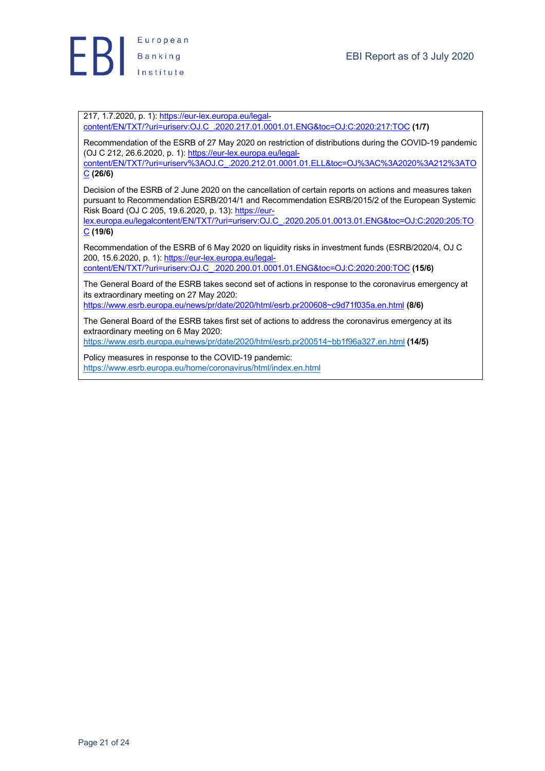

217, 1.7.2020, p. 1): https://eur-lex.europa.eu/legalcontent/EN/TXT/?uri=uriserv:OJ.C\_.2020.217.01.0001.01.ENG&toc=OJ:C:2020:217:TOC **(1/7)**

Recommendation of the ESRB of 27 May 2020 on restriction of distributions during the COVID-19 pandemic (OJ C 212, 26.6.2020, p. 1): https://eur-lex.europa.eu/legal-

content/EN/TXT/?uri=uriserv%3AOJ.C\_.2020.212.01.0001.01.ELL&toc=OJ%3AC%3A2020%3A212%3ATO C **(26/6)**

Decision of the ESRB of 2 June 2020 on the cancellation of certain reports on actions and measures taken pursuant to Recommendation ESRB/2014/1 and Recommendation ESRB/2015/2 of the European Systemic .<br>Risk Board (OJ C 205, 19.6.2020, p. 13): https://eur-

lex.europa.eu/legalcontent/EN/TXT/?uri=uriserv:OJ.C\_.2020.205.01.0013.01.ENG&toc=OJ:C:2020:205:TO C **(19/6)**

Recommendation of the ESRB of 6 May 2020 on liquidity risks in investment funds (ESRB/2020/4, OJ C 200, 15.6.2020, p. 1): https://eur-lex.europa.eu/legalcontent/EN/TXT/?uri=uriserv:OJ.C\_.2020.200.01.0001.01.ENG&toc=OJ:C:2020:200:TOC **(15/6)**

The General Board of the ESRB takes second set of actions in response to the coronavirus emergency at its extraordinary meeting on 27 May 2020:

https://www.esrb.europa.eu/news/pr/date/2020/html/esrb.pr200608~c9d71f035a.en.html **(8/6)**

The General Board of the ESRB takes first set of actions to address the coronavirus emergency at its extraordinary meeting on 6 May 2020:

https://www.esrb.europa.eu/news/pr/date/2020/html/esrb.pr200514~bb1f96a327.en.html **(14/5)**

Policy measures in response to the COVID-19 pandemic: https://www.esrb.europa.eu/home/coronavirus/html/index.en.html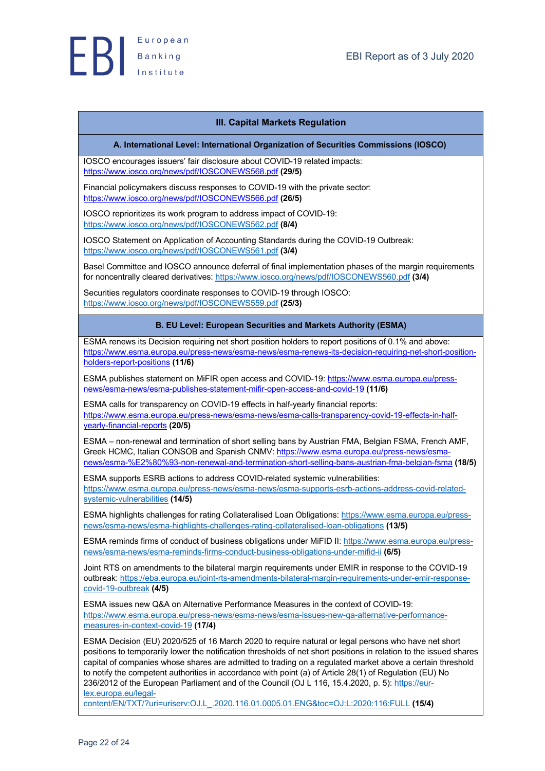

## **III. Capital Markets Regulation**

#### **A. International Level: International Organization of Securities Commissions (IOSCO)**

IOSCO encourages issuers' fair disclosure about COVID-19 related impacts: https://www.iosco.org/news/pdf/IOSCONEWS568.pdf **(29/5)**

Financial policymakers discuss responses to COVID-19 with the private sector: https://www.iosco.org/news/pdf/IOSCONEWS566.pdf **(26/5)**

IOSCO reprioritizes its work program to address impact of COVID-19: https://www.iosco.org/news/pdf/IOSCONEWS562.pdf **(8/4)**

IOSCO Statement on Application of Accounting Standards during the COVID-19 Outbreak: https://www.iosco.org/news/pdf/IOSCONEWS561.pdf **(3/4)**

Basel Committee and IOSCO announce deferral of final implementation phases of the margin requirements for noncentrally cleared derivatives: https://www.iosco.org/news/pdf/IOSCONEWS560.pdf **(3/4)**

Securities regulators coordinate responses to COVID-19 through IOSCO: https://www.iosco.org/news/pdf/IOSCONEWS559.pdf **(25/3)**

#### **B. EU Level: European Securities and Markets Authority (ESMA)**

ESMA renews its Decision requiring net short position holders to report positions of 0.1% and above: https://www.esma.europa.eu/press-news/esma-news/esma-renews-its-decision-requiring-net-short-positionholders-report-positions **(11/6)**

ESMA publishes statement on MiFIR open access and COVID-19: https://www.esma.europa.eu/pressnews/esma-news/esma-publishes-statement-mifir-open-access-and-covid-19 **(11/6)**

ESMA calls for transparency on COVID-19 effects in half-yearly financial reports: https://www.esma.europa.eu/press-news/esma-news/esma-calls-transparency-covid-19-effects-in-halfyearly-financial-reports **(20/5)**

ESMA – non-renewal and termination of short selling bans by Austrian FMA, Belgian FSMA, French AMF, Greek HCMC, Italian CONSOB and Spanish CNMV: https://www.esma.europa.eu/press-news/esmanews/esma-%E2%80%93-non-renewal-and-termination-short-selling-bans-austrian-fma-belgian-fsma **(18/5)**

ESMA supports ESRB actions to address COVID-related systemic vulnerabilities: https://www.esma.europa.eu/press-news/esma-news/esma-supports-esrb-actions-address-covid-relatedsystemic-vulnerabilities **(14/5)**

ESMA highlights challenges for rating Collateralised Loan Obligations: https://www.esma.europa.eu/pressnews/esma-news/esma-highlights-challenges-rating-collateralised-loan-obligations **(13/5)**

ESMA reminds firms of conduct of business obligations under MiFID II: https://www.esma.europa.eu/pressnews/esma-news/esma-reminds-firms-conduct-business-obligations-under-mifid-ii **(6/5)**

Joint RTS on amendments to the bilateral margin requirements under EMIR in response to the COVID-19 outbreak: https://eba.europa.eu/joint-rts-amendments-bilateral-margin-requirements-under-emir-responsecovid-19-outbreak **(4/5)**

ESMA issues new Q&A on Alternative Performance Measures in the context of COVID-19: https://www.esma.europa.eu/press-news/esma-news/esma-issues-new-qa-alternative-performancemeasures-in-context-covid-19 **(17/4)**

ESMA Decision (EU) 2020/525 of 16 March 2020 to require natural or legal persons who have net short positions to temporarily lower the notification thresholds of net short positions in relation to the issued shares capital of companies whose shares are admitted to trading on a regulated market above a certain threshold to notify the competent authorities in accordance with point (a) of Article 28(1) of Regulation (EU) No 236/2012 of the European Parliament and of the Council (OJ L 116, 15.4.2020, p. 5): https://eurlex.europa.eu/legal-

content/EN/TXT/?uri=uriserv:OJ.L\_.2020.116.01.0005.01.ENG&toc=OJ:L:2020:116:FULL **(15/4)**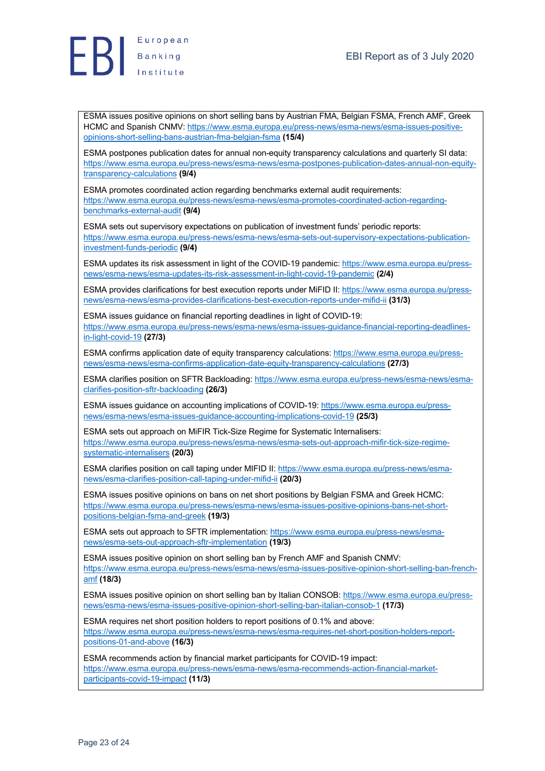



ESMA issues positive opinions on short selling bans by Austrian FMA, Belgian FSMA, French AMF, Greek HCMC and Spanish CNMV: https://www.esma.europa.eu/press-news/esma-news/esma-issues-positiveopinions-short-selling-bans-austrian-fma-belgian-fsma **(15/4)**

ESMA postpones publication dates for annual non-equity transparency calculations and quarterly SI data: https://www.esma.europa.eu/press-news/esma-news/esma-postpones-publication-dates-annual-non-equitytransparency-calculations **(9/4)**

ESMA promotes coordinated action regarding benchmarks external audit requirements: https://www.esma.europa.eu/press-news/esma-news/esma-promotes-coordinated-action-regardingbenchmarks-external-audit **(9/4)**

ESMA sets out supervisory expectations on publication of investment funds' periodic reports: https://www.esma.europa.eu/press-news/esma-news/esma-sets-out-supervisory-expectations-publicationinvestment-funds-periodic **(9/4)**

ESMA updates its risk assessment in light of the COVID-19 pandemic: https://www.esma.europa.eu/pressnews/esma-news/esma-updates-its-risk-assessment-in-light-covid-19-pandemic **(2/4)**

ESMA provides clarifications for best execution reports under MiFID II: https://www.esma.europa.eu/pressnews/esma-news/esma-provides-clarifications-best-execution-reports-under-mifid-ii **(31/3)**

ESMA issues guidance on financial reporting deadlines in light of COVID-19: https://www.esma.europa.eu/press-news/esma-news/esma-issues-guidance-financial-reporting-deadlinesin-light-covid-19 **(27/3)**

ESMA confirms application date of equity transparency calculations: https://www.esma.europa.eu/pressnews/esma-news/esma-confirms-application-date-equity-transparency-calculations **(27/3)**

ESMA clarifies position on SFTR Backloading: https://www.esma.europa.eu/press-news/esma-news/esmaclarifies-position-sftr-backloading **(26/3)**

ESMA issues guidance on accounting implications of COVID-19: https://www.esma.europa.eu/pressnews/esma-news/esma-issues-guidance-accounting-implications-covid-19 **(25/3)**

ESMA sets out approach on MiFIR Tick-Size Regime for Systematic Internalisers: https://www.esma.europa.eu/press-news/esma-news/esma-sets-out-approach-mifir-tick-size-regimesystematic-internalisers **(20/3)**

ESMA clarifies position on call taping under MIFID II: https://www.esma.europa.eu/press-news/esmanews/esma-clarifies-position-call-taping-under-mifid-ii **(20/3)**

ESMA issues positive opinions on bans on net short positions by Belgian FSMA and Greek HCMC: https://www.esma.europa.eu/press-news/esma-news/esma-issues-positive-opinions-bans-net-shortpositions-belgian-fsma-and-greek **(19/3)**

ESMA sets out approach to SFTR implementation: https://www.esma.europa.eu/press-news/esmanews/esma-sets-out-approach-sftr-implementation **(19/3)**

ESMA issues positive opinion on short selling ban by French AMF and Spanish CNMV: https://www.esma.europa.eu/press-news/esma-news/esma-issues-positive-opinion-short-selling-ban-frenchamf **(18/3)**

ESMA issues positive opinion on short selling ban by Italian CONSOB: https://www.esma.europa.eu/pressnews/esma-news/esma-issues-positive-opinion-short-selling-ban-italian-consob-1 **(17/3)**

ESMA requires net short position holders to report positions of 0.1% and above: https://www.esma.europa.eu/press-news/esma-news/esma-requires-net-short-position-holders-reportpositions-01-and-above **(16/3)**

ESMA recommends action by financial market participants for COVID-19 impact: https://www.esma.europa.eu/press-news/esma-news/esma-recommends-action-financial-marketparticipants-covid-19-impact **(11/3)**